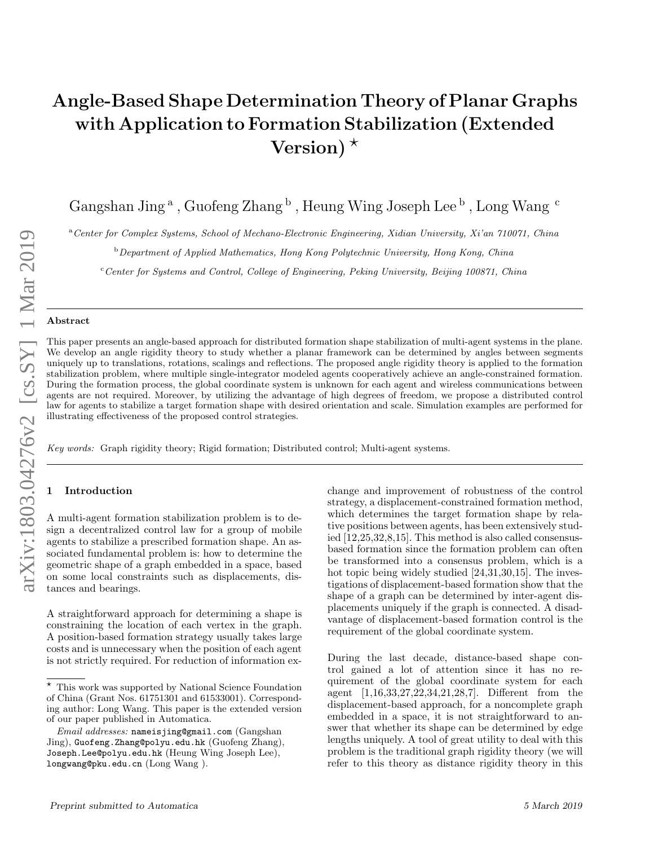# Angle-Based Shape Determination Theory of Planar Graphs with Application to Formation Stabilization (Extended Version)  $\star$

Gangshan Jing<sup>a</sup>, Guofeng Zhang  $^{\rm b}$ , Heung Wing Joseph Lee  $^{\rm b}$ , Long Wang  $^{\rm c}$ 

<sup>a</sup>Center for Complex Systems, School of Mechano-Electronic Engineering, Xidian University, Xi'an 710071, China

**b** Department of Applied Mathematics, Hong Kong Polytechnic University, Hong Kong, China

<sup>c</sup> Center for Systems and Control, College of Engineering, Peking University, Beijing 100871, China

#### Abstract

This paper presents an angle-based approach for distributed formation shape stabilization of multi-agent systems in the plane. We develop an angle rigidity theory to study whether a planar framework can be determined by angles between segments uniquely up to translations, rotations, scalings and reflections. The proposed angle rigidity theory is applied to the formation stabilization problem, where multiple single-integrator modeled agents cooperatively achieve an angle-constrained formation. During the formation process, the global coordinate system is unknown for each agent and wireless communications between agents are not required. Moreover, by utilizing the advantage of high degrees of freedom, we propose a distributed control law for agents to stabilize a target formation shape with desired orientation and scale. Simulation examples are performed for illustrating effectiveness of the proposed control strategies.

Key words: Graph rigidity theory; Rigid formation; Distributed control; Multi-agent systems.

# **Introduction**

A multi-agent formation stabilization problem is to design a decentralized control law for a group of mobile agents to stabilize a prescribed formation shape. An associated fundamental problem is: how to determine the geometric shape of a graph embedded in a space, based on some local constraints such as displacements, distances and bearings.

A straightforward approach for determining a shape is constraining the location of each vertex in the graph. A position-based formation strategy usually takes large costs and is unnecessary when the position of each agent is not strictly required. For reduction of information exchange and improvement of robustness of the control strategy, a displacement-constrained formation method, which determines the target formation shape by relative positions between agents, has been extensively studied [12,25,32,8,15]. This method is also called consensusbased formation since the formation problem can often be transformed into a consensus problem, which is a hot topic being widely studied [24,31,30,15]. The investigations of displacement-based formation show that the shape of a graph can be determined by inter-agent displacements uniquely if the graph is connected. A disadvantage of displacement-based formation control is the requirement of the global coordinate system.

During the last decade, distance-based shape control gained a lot of attention since it has no requirement of the global coordinate system for each agent [1,16,33,27,22,34,21,28,7]. Different from the displacement-based approach, for a noncomplete graph embedded in a space, it is not straightforward to answer that whether its shape can be determined by edge lengths uniquely. A tool of great utility to deal with this problem is the traditional graph rigidity theory (we will refer to this theory as distance rigidity theory in this

<sup>?</sup> This work was supported by National Science Foundation of China (Grant Nos. 61751301 and 61533001). Corresponding author: Long Wang. This paper is the extended version of our paper published in Automatica.

Email addresses: nameisjing@gmail.com (Gangshan Jing), Guofeng.Zhang@polyu.edu.hk (Guofeng Zhang), Joseph.Lee@polyu.edu.hk (Heung Wing Joseph Lee), longwang@pku.edu.cn (Long Wang ).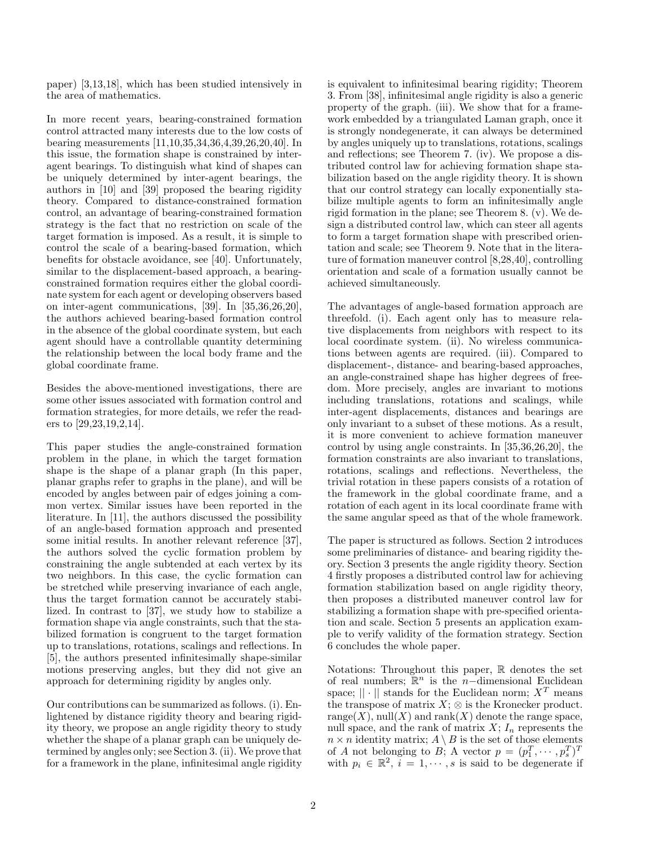paper) [3,13,18], which has been studied intensively in the area of mathematics.

In more recent years, bearing-constrained formation control attracted many interests due to the low costs of bearing measurements [11,10,35,34,36,4,39,26,20,40]. In this issue, the formation shape is constrained by interagent bearings. To distinguish what kind of shapes can be uniquely determined by inter-agent bearings, the authors in [10] and [39] proposed the bearing rigidity theory. Compared to distance-constrained formation control, an advantage of bearing-constrained formation strategy is the fact that no restriction on scale of the target formation is imposed. As a result, it is simple to control the scale of a bearing-based formation, which benefits for obstacle avoidance, see [40]. Unfortunately, similar to the displacement-based approach, a bearingconstrained formation requires either the global coordinate system for each agent or developing observers based on inter-agent communications, [39]. In [35,36,26,20], the authors achieved bearing-based formation control in the absence of the global coordinate system, but each agent should have a controllable quantity determining the relationship between the local body frame and the global coordinate frame.

Besides the above-mentioned investigations, there are some other issues associated with formation control and formation strategies, for more details, we refer the readers to [29,23,19,2,14].

This paper studies the angle-constrained formation problem in the plane, in which the target formation shape is the shape of a planar graph (In this paper, planar graphs refer to graphs in the plane), and will be encoded by angles between pair of edges joining a common vertex. Similar issues have been reported in the literature. In [11], the authors discussed the possibility of an angle-based formation approach and presented some initial results. In another relevant reference [37], the authors solved the cyclic formation problem by constraining the angle subtended at each vertex by its two neighbors. In this case, the cyclic formation can be stretched while preserving invariance of each angle, thus the target formation cannot be accurately stabilized. In contrast to [37], we study how to stabilize a formation shape via angle constraints, such that the stabilized formation is congruent to the target formation up to translations, rotations, scalings and reflections. In [5], the authors presented infinitesimally shape-similar motions preserving angles, but they did not give an approach for determining rigidity by angles only.

Our contributions can be summarized as follows. (i). Enlightened by distance rigidity theory and bearing rigidity theory, we propose an angle rigidity theory to study whether the shape of a planar graph can be uniquely determined by angles only; see Section 3. (ii). We prove that for a framework in the plane, infinitesimal angle rigidity is equivalent to infinitesimal bearing rigidity; Theorem 3. From [38], infinitesimal angle rigidity is also a generic property of the graph. (iii). We show that for a framework embedded by a triangulated Laman graph, once it is strongly nondegenerate, it can always be determined by angles uniquely up to translations, rotations, scalings and reflections; see Theorem 7. (iv). We propose a distributed control law for achieving formation shape stabilization based on the angle rigidity theory. It is shown that our control strategy can locally exponentially stabilize multiple agents to form an infinitesimally angle rigid formation in the plane; see Theorem 8. (v). We design a distributed control law, which can steer all agents to form a target formation shape with prescribed orientation and scale; see Theorem 9. Note that in the literature of formation maneuver control [8,28,40], controlling orientation and scale of a formation usually cannot be achieved simultaneously.

The advantages of angle-based formation approach are threefold. (i). Each agent only has to measure relative displacements from neighbors with respect to its local coordinate system. (ii). No wireless communications between agents are required. (iii). Compared to displacement-, distance- and bearing-based approaches, an angle-constrained shape has higher degrees of freedom. More precisely, angles are invariant to motions including translations, rotations and scalings, while inter-agent displacements, distances and bearings are only invariant to a subset of these motions. As a result, it is more convenient to achieve formation maneuver control by using angle constraints. In [35,36,26,20], the formation constraints are also invariant to translations, rotations, scalings and reflections. Nevertheless, the trivial rotation in these papers consists of a rotation of the framework in the global coordinate frame, and a rotation of each agent in its local coordinate frame with the same angular speed as that of the whole framework.

The paper is structured as follows. Section 2 introduces some preliminaries of distance- and bearing rigidity theory. Section 3 presents the angle rigidity theory. Section 4 firstly proposes a distributed control law for achieving formation stabilization based on angle rigidity theory, then proposes a distributed maneuver control law for stabilizing a formation shape with pre-specified orientation and scale. Section 5 presents an application example to verify validity of the formation strategy. Section 6 concludes the whole paper.

Notations: Throughout this paper, R denotes the set of real numbers;  $\mathbb{R}^n$  is the n-dimensional Euclidean space;  $\|\cdot\|$  stands for the Euclidean norm;  $X^T$  means the transpose of matrix  $X$ ;  $\otimes$  is the Kronecker product. range(X), null(X) and rank(X) denote the range space, null space, and the rank of matrix  $X$ ;  $I_n$  represents the  $n \times n$  identity matrix;  $A \setminus B$  is the set of those elements of A not belonging to B; A vector  $p = (p_1^T, \dots, p_s^T)^T$ with  $p_i \in \mathbb{R}^2$ ,  $\check{i} = 1, \cdots, s$  is said to be degenerate if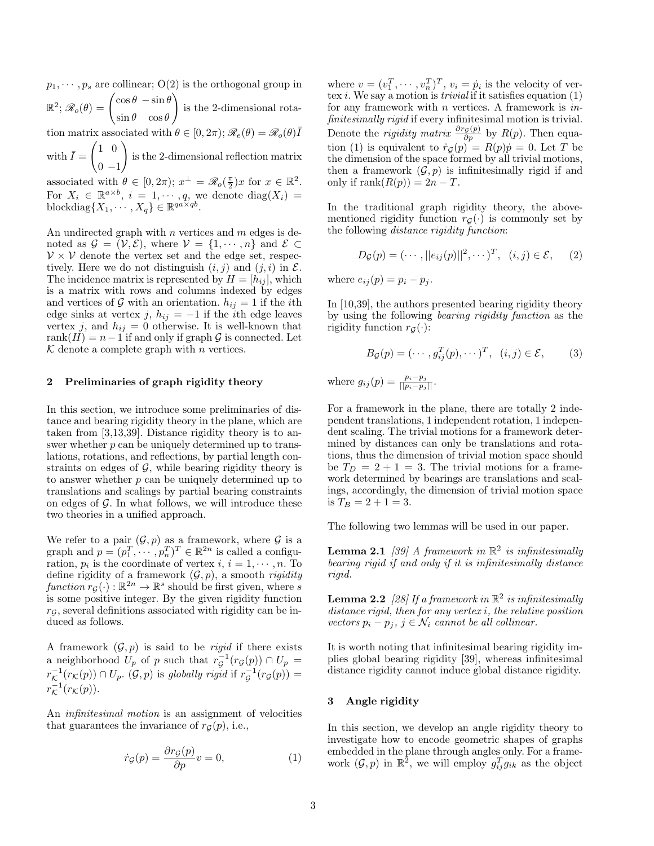$p_1, \dots, p_s$  are collinear;  $O(2)$  is the orthogonal group in  $\mathbb{R}^2;\mathscr{R}_o(\theta)=\begin{pmatrix} \cos\theta & -\sin\theta \ \cos\theta & \sin\theta \end{pmatrix}$  $\sin \theta \quad \cos \theta$  $\setminus$ is the 2-dimensional rotation matrix associated with  $\theta \in [0, 2\pi); \mathcal{R}_e(\theta) = \mathcal{R}_o(\theta) \overline{I}$ 

with  $\bar{I} = \begin{pmatrix} 1 & 0 \\ 1 & 0 \end{pmatrix}$  $0 -1$  $\setminus$ is the 2-dimensional reflection matrix

associated with  $\theta \in [0, 2\pi); x^{\perp} = \mathscr{R}_o(\frac{\pi}{2})x$  for  $x \in \mathbb{R}^2$ . For  $X_i \in \mathbb{R}^{a \times b}$ ,  $i = 1, \dots, q$ , we denote  $diag(X_i) =$ blockdiag $\{X_1, \cdots, X_q\} \in \mathbb{R}^{qa \times qb}$ .

An undirected graph with  $n$  vertices and  $m$  edges is denoted as  $\mathcal{G} = (\mathcal{V}, \mathcal{E})$ , where  $\mathcal{V} = \{1, \dots, n\}$  and  $\mathcal{E} \subset$  $V \times V$  denote the vertex set and the edge set, respectively. Here we do not distinguish  $(i, j)$  and  $(j, i)$  in  $\mathcal{E}$ . The incidence matrix is represented by  $H = [h_{ij}]$ , which is a matrix with rows and columns indexed by edges and vertices of G with an orientation.  $h_{ij} = 1$  if the *i*th edge sinks at vertex j,  $h_{ij} = -1$  if the *i*th edge leaves vertex j, and  $h_{ij} = 0$  otherwise. It is well-known that rank $(H) = n-1$  if and only if graph  $\mathcal G$  is connected. Let  $K$  denote a complete graph with *n* vertices.

# 2 Preliminaries of graph rigidity theory

In this section, we introduce some preliminaries of distance and bearing rigidity theory in the plane, which are taken from [3,13,39]. Distance rigidity theory is to answer whether  $p$  can be uniquely determined up to translations, rotations, and reflections, by partial length constraints on edges of  $\mathcal{G}$ , while bearing rigidity theory is to answer whether  $p$  can be uniquely determined up to translations and scalings by partial bearing constraints on edges of  $\mathcal G$ . In what follows, we will introduce these two theories in a unified approach.

We refer to a pair  $(\mathcal{G}, p)$  as a framework, where  $\mathcal G$  is a graph and  $p = (p_1^T, \dots, p_n^T)^T \in \mathbb{R}^{2n}$  is called a configuration,  $p_i$  is the coordinate of vertex  $i, i = 1, \dots, n$ . To define rigidity of a framework  $(\mathcal{G}, p)$ , a smooth *rigidity* function  $r_g(\cdot): \mathbb{R}^{2n} \to \mathbb{R}^s$  should be first given, where s is some positive integer. By the given rigidity function  $r<sub>G</sub>$ , several definitions associated with rigidity can be induced as follows.

A framework  $(\mathcal{G}, p)$  is said to be *rigid* if there exists a neighborhood  $U_p$  of p such that  $r_{\mathcal{G}}^{-1}(r_{\mathcal{G}}(p)) \cap U_p =$  $r_{\mathcal{K}}^{-1}(r_{\mathcal{K}}(p)) \cap U_p$ .  $(\mathcal{G}, p)$  is globally rigid if  $r_{\mathcal{G}}^{-1}(r_{\mathcal{G}}(p)) =$  $r^{-1}_\mathcal{K}(r_\mathcal{K}(p)).$ 

An infinitesimal motion is an assignment of velocities that guarantees the invariance of  $r_G(p)$ , i.e.,

$$
\dot{r}_{\mathcal{G}}(p) = \frac{\partial r_{\mathcal{G}}(p)}{\partial p} v = 0, \tag{1}
$$

where  $v = (v_1^T, \dots, v_n^T)^T$ ,  $v_i = \dot{p}_i$  is the velocity of vertex *i*. We say a motion is *trivial* if it satisfies equation  $(1)$ for any framework with  $n$  vertices. A framework is  $in$ finitesimally rigid if every infinitesimal motion is trivial. Denote the *rigidity matrix*  $\frac{\partial r_{\mathcal{G}}(p)}{\partial p}$  by  $R(p)$ . Then equation (1) is equivalent to  $\dot{r}_{\mathcal{G}}(p) = R(p)\dot{p} = 0$ . Let T be the dimension of the space formed by all trivial motions, then a framework  $(\mathcal{G}, p)$  is infinitesimally rigid if and only if  $\operatorname{rank}(R(p)) = 2n - T$ .

In the traditional graph rigidity theory, the abovementioned rigidity function  $r_G(\cdot)$  is commonly set by the following distance rigidity function:

$$
D_{\mathcal{G}}(p) = (\cdots, ||e_{ij}(p)||^2, \cdots)^T, (i, j) \in \mathcal{E}, (2)
$$

where  $e_{ij}(p) = p_i - p_j$ .

In [10,39], the authors presented bearing rigidity theory by using the following bearing rigidity function as the rigidity function  $r_G(\cdot)$ :

$$
B_{\mathcal{G}}(p) = (\cdots, g_{ij}^T(p), \cdots)^T, \quad (i, j) \in \mathcal{E}, \tag{3}
$$

where  $g_{ij}(p) = \frac{p_i - p_j}{||p_i - p_j||}$ .

For a framework in the plane, there are totally 2 independent translations, 1 independent rotation, 1 independent scaling. The trivial motions for a framework determined by distances can only be translations and rotations, thus the dimension of trivial motion space should be  $T_D = 2 + 1 = 3$ . The trivial motions for a framework determined by bearings are translations and scalings, accordingly, the dimension of trivial motion space is  $T_B = 2 + 1 = 3$ .

The following two lemmas will be used in our paper.

**Lemma 2.1** [39] A framework in  $\mathbb{R}^2$  is infinitesimally bearing rigid if and only if it is infinitesimally distance rigid.

**Lemma 2.2** [28] If a framework in  $\mathbb{R}^2$  is infinitesimally distance rigid, then for any vertex i, the relative position vectors  $p_i - p_j$ ,  $j \in \mathcal{N}_i$  cannot be all collinear.

It is worth noting that infinitesimal bearing rigidity implies global bearing rigidity [39], whereas infinitesimal distance rigidity cannot induce global distance rigidity.

#### 3 Angle rigidity

In this section, we develop an angle rigidity theory to investigate how to encode geometric shapes of graphs embedded in the plane through angles only. For a framework  $(\mathcal{G}, p)$  in  $\mathbb{R}^2$ , we will employ  $g_{ij}^T g_{ik}$  as the object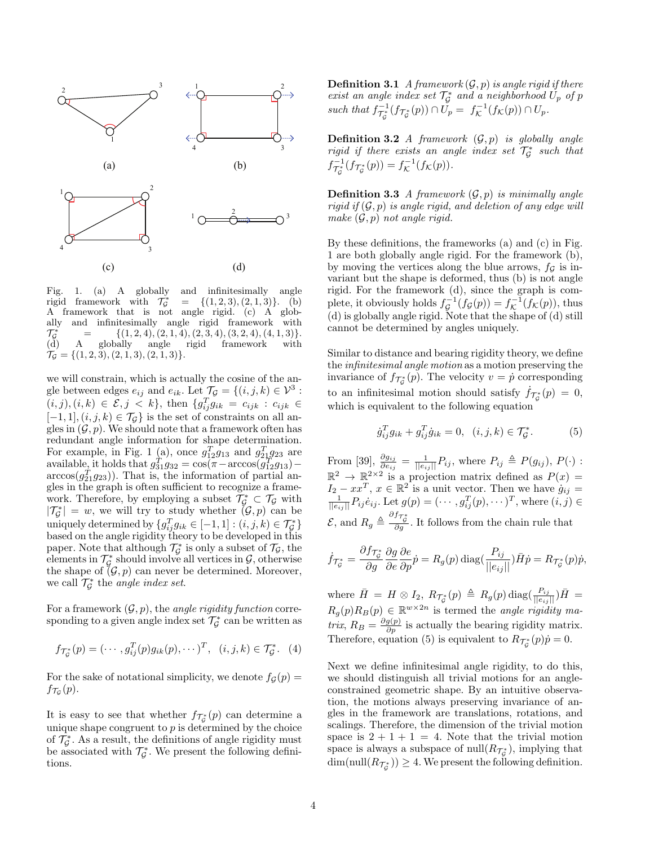

Fig. 1. (a) A globally and infinitesimally angle rigid framework with  $\mathcal{T}_G^*$  $= \{(1, 2, 3), (2, 1, 3)\}.$  (b) A framework that is not angle rigid. (c) A globally and infinitesimally angle rigid framework with  $\mathcal{T}^*_G$  $=$  {(1, 2, 4), (2, 1, 4), (2, 3, 4), (3, 2, 4), (4, 1, 3)}.<br>A globally angle rigid framework with framework  $\mathcal{T}_{\mathcal{G}} = \{(1, 2, 3), (2, 1, 3), (2, 1, 3)\}.$ 

we will constrain, which is actually the cosine of the angle between edges  $e_{ij}$  and  $e_{ik}$ . Let  $\mathcal{T}_{\mathcal{G}} = \{(i, j, k) \in \mathcal{V}^3$ :  $(i, j), (i, k) \in \mathcal{E}, j \lt k$ , then  $\{g_{ij}^T g_{ik} = c_{ijk} : c_{ijk} \in$  $[-1, 1], (i, j, k) \in \mathcal{T}_{\mathcal{G}}\}$  is the set of constraints on all angles in  $(G, p)$ . We should note that a framework often has redundant angle information for shape determination. For example, in Fig. 1 (a), once  $g_{12}^T g_{13}$  and  $g_{21}^T g_{23}$  are available, it holds that  $g_{31}^T g_{32} = \cos(\pi - \arccos(g_{12}^T g_{13})$  $arccos(g_{21}^{T}g_{23})$ . That is, the information of partial angles in the graph is often sufficient to recognize a framework. Therefore, by employing a subset  $\mathcal{T}_{\mathcal{G}}^* \subset \mathcal{T}_{\mathcal{G}}$  with  $|\mathcal{T}_{\mathcal{G}}^*| = w$ , we will try to study whether  $(\mathcal{G}, p)$  can be uniquely determined by  $\{g_{ij}^T g_{ik} \in [-1,1] : (i,j,k) \in \mathcal{T}_{\mathcal{G}}^*\}$ based on the angle rigidity theory to be developed in this paper. Note that although  $\mathcal{T}_{\mathcal{G}}^*$  is only a subset of  $\mathcal{T}_{\mathcal{G}}$ , the elements in  $\mathcal{T}_{\mathcal{G}}^*$  should involve all vertices in  $\mathcal{G}$ , otherwise the shape of  $(\mathcal{G}, p)$  can never be determined. Moreover, we call  $\mathcal{T}_{\mathcal{G}}^*$  the *angle index set*.

For a framework  $(\mathcal{G}, p)$ , the *angle rigidity function* corresponding to a given angle index set  $\mathcal{T}_{\mathcal{G}}^*$  can be written as

$$
f_{\mathcal{T}_\mathcal{G}}(p) = (\cdots, g_{ij}^T(p)g_{ik}(p), \cdots)^T, (i, j, k) \in \mathcal{T}_\mathcal{G}^*.
$$
 (4)

For the sake of notational simplicity, we denote  $f_{\mathcal{G}}(p) =$  $f_{\mathcal{T}_{\mathcal{G}}}(p).$ 

It is easy to see that whether  $f_{\mathcal{T}_{\mathcal{G}}}^*(p)$  can determine a unique shape congruent to  $p$  is determined by the choice of  $\mathcal{T}_{\mathcal{G}}^*$ . As a result, the definitions of angle rigidity must be associated with  $\mathcal{T}_{\mathcal{G}}^*$ . We present the following definitions.

**Definition 3.1** A framework  $(\mathcal{G}, p)$  is angle rigid if there exist an angle index set  $\mathcal{T}_{\mathcal{G}}^*$  and a neighborhood  $U_p$  of p such that  $f_{\mathcal{T}_{\mathcal{G}}}^{-1}(f_{\mathcal{T}_{\mathcal{G}}^*}(p)) \cap U_p = f_{\mathcal{K}}^{-1}(f_{\mathcal{K}}(p)) \cap U_p$ .

**Definition 3.2** A framework  $(\mathcal{G}, p)$  is globally angle rigid if there exists an angle index set  $\mathcal{T}_{\mathcal{G}}^*$  such that  $f_{\mathcal{T}_{\mathcal{G}}}^{-1}(f_{\mathcal{T}_{\mathcal{G}}}^*(p)) = f_{\mathcal{K}}^{-1}(f_{\mathcal{K}}(p)).$ 

**Definition 3.3** A framework  $(\mathcal{G}, p)$  is minimally angle rigid if  $(\mathcal{G}, p)$  is angle rigid, and deletion of any edge will make  $(\mathcal{G}, p)$  not angle rigid.

By these definitions, the frameworks (a) and (c) in Fig. 1 are both globally angle rigid. For the framework (b), by moving the vertices along the blue arrows,  $f<sub>G</sub>$  is invariant but the shape is deformed, thus (b) is not angle rigid. For the framework (d), since the graph is complete, it obviously holds  $f_{\mathcal{G}}^{-1}(f_{\mathcal{G}}(p)) = f_{\mathcal{K}}^{-1}(f_{\mathcal{K}}(p))$ , thus (d) is globally angle rigid. Note that the shape of (d) still cannot be determined by angles uniquely.

Similar to distance and bearing rigidity theory, we define the infinitesimal angle motion as a motion preserving the invariance of  $f_{\mathcal{T}_{\mathcal{G}}^*}(p)$ . The velocity  $v = \dot{p}$  corresponding to an infinitesimal motion should satisfy  $\dot{f}_{\mathcal{T}_{\mathcal{G}}}^{\ast}(p) = 0$ , which is equivalent to the following equation

$$
\dot{g}_{ij}^T g_{ik} + g_{ij}^T \dot{g}_{ik} = 0, \ \ (i, j, k) \in \mathcal{T}_{\mathcal{G}}^*.
$$
 (5)

From [39],  $\frac{\partial g_{ij}}{\partial e_{ij}} = \frac{1}{||e_{ij}||} P_{ij}$ , where  $P_{ij} \triangleq P(g_{ij})$ ,  $P(\cdot)$ :  $\mathbb{R}^2 \to \mathbb{R}^{2 \times 2}$  is a projection matrix defined as  $P(x) =$  $I_2 - xx^T$ ,  $x \in \mathbb{R}^2$  is a unit vector. Then we have  $\dot{g}_{ij} = \frac{1}{||e_{ij}||} P_{ij} \dot{e}_{ij}$ . Let  $g(p) = (\cdots, g_{ij}^T(p), \cdots)^T$ , where  $(i, j) \in$  $\mathcal{E}$ , and  $R_g \triangleq \frac{\partial f_{\tau_g^*}}{\partial g}$ . It follows from the chain rule that

$$
\dot{f}_{\mathcal{T}_{\mathcal{G}}^*} = \frac{\partial f_{\mathcal{T}_{\mathcal{G}}^*}}{\partial g} \frac{\partial g}{\partial e} \frac{\partial e}{\partial p} \dot{p} = R_g(p) \operatorname{diag}(\frac{P_{ij}}{||e_{ij}||}) \bar{H} \dot{p} = R_{\mathcal{T}_{\mathcal{G}}^*}(p) \dot{p},
$$

where  $\bar{H} = H \otimes I_2$ ,  $R_{\mathcal{T}_{\mathcal{G}}^*}(p) \triangleq R_g(p) \operatorname{diag}(\frac{P_{ij}}{||e_{ij}||})\bar{H}$  $R_g(p)R_B(p) \in \mathbb{R}^{w \times 2n}$  is termed the angle rigidity ma*trix*,  $R_B = \frac{\partial g(p)}{\partial p}$  is actually the bearing rigidity matrix. Therefore, equation (5) is equivalent to  $R_{\mathcal{T}_{\mathcal{G}}}^*(p)\dot{p} = 0$ .

Next we define infinitesimal angle rigidity, to do this, we should distinguish all trivial motions for an angleconstrained geometric shape. By an intuitive observation, the motions always preserving invariance of angles in the framework are translations, rotations, and scalings. Therefore, the dimension of the trivial motion space is  $2 + 1 + 1 = 4$ . Note that the trivial motion space is always a subspace of  $\text{null}(R_{\mathcal{T}_{\mathcal{G}}^*})$ , implying that  $\dim(\mathrm{null}(R_{\mathcal{T}_{\mathcal{G}}^*})) \geq 4.$  We present the following definition.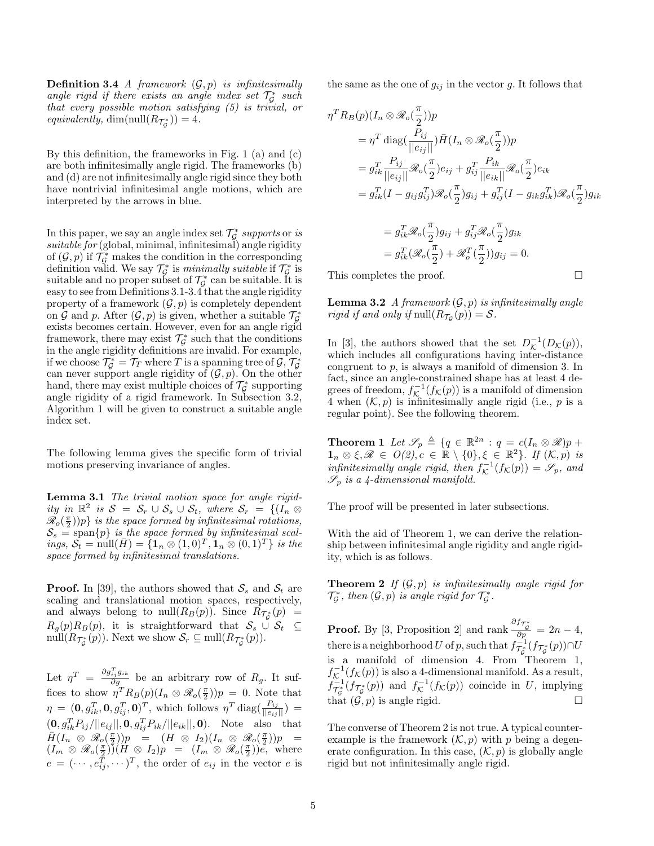**Definition 3.4** A framework  $(\mathcal{G}, p)$  is infinitesimally angle rigid if there exists an angle index set  $\mathcal{T}_{\mathcal{G}}^*$  such that every possible motion satisfying (5) is trivial, or equivalently,  $\dim(\text{null}(R_{\mathcal{T}_{\mathcal{G}}^*}))=4.$ 

By this definition, the frameworks in Fig. 1 (a) and (c) are both infinitesimally angle rigid. The frameworks (b) and (d) are not infinitesimally angle rigid since they both have nontrivial infinitesimal angle motions, which are interpreted by the arrows in blue.

In this paper, we say an angle index set  $\mathcal{T}_{\mathcal{G}}^*$  supports or is  $suitable for (global, minimal, infinitesimal) angle rigidity$ of  $(\mathcal{G}, p)$  if  $\mathcal{T}_{\mathcal{G}}^*$  makes the condition in the corresponding definition valid. We say  $\mathcal{T}_{\mathcal{G}}^*$  is minimally suitable if  $\mathcal{T}_{\mathcal{G}}^*$  is suitable and no proper subset of  $\mathcal{T}_{\mathcal{G}}^*$  can be suitable. It is easy to see from Definitions 3.1-3.4 that the angle rigidity property of a framework  $(\mathcal{G}, p)$  is completely dependent on G and p. After  $(G, p)$  is given, whether a suitable  $\mathcal{T}_{\mathcal{G}}^*$ exists becomes certain. However, even for an angle rigid framework, there may exist  $\mathcal{T}_{\mathcal{G}}^*$  such that the conditions in the angle rigidity definitions are invalid. For example, if we choose  $\mathcal{T}_{\mathcal{G}}^* = \mathcal{T}_T$  where  $T$  is a spanning tree of  $\mathcal{G}, \mathcal{T}_{\mathcal{G}}^*$ can never support angle rigidity of  $(\mathcal{G}, p)$ . On the other hand, there may exist multiple choices of  $\mathcal{T}_{\mathcal{G}}^*$  supporting angle rigidity of a rigid framework. In Subsection 3.2, Algorithm 1 will be given to construct a suitable angle index set.

The following lemma gives the specific form of trivial motions preserving invariance of angles.

Lemma 3.1 The trivial motion space for angle rigidity in  $\mathbb{R}^2$  is  $S = S_r \cup S_s \cup S_t$ , where  $S_r = \{(\tilde{I_n} \otimes$  $\mathscr{R}_o(\frac{\pi}{2})$ )p} is the space formed by infinitesimal rotations,  $\mathcal{S}_s$  = span $\{p\}$  is the space formed by infinitesimal scal- $\hat{p}_t \cdot \hat{S}_t = \text{null}(\bar{H}) = \{ \mathbf{1}_n \otimes (1,0)^T, \mathbf{1}_n \otimes (0,1)^T \}$  is the space formed by infinitesimal translations.

**Proof.** In [39], the authors showed that  $S_s$  and  $S_t$  are scaling and translational motion spaces, respectively, and always belong to  $null(R_B(p))$ . Since  $R_{\mathcal{T}_{\mathcal{G}}^*}(p)$  =  $R_g(p)R_B(p)$ , it is straightforward that  $S_s \cup S_t \subseteq$  $\text{null}(R_{\mathcal{T}_{\mathcal{G}}^*}(p)).$  Next we show  $\mathcal{S}_r \subseteq \text{null}(R_{\mathcal{T}_{\mathcal{G}}^*}(p)).$ 

Let  $\eta^T = \frac{\partial g_{ij}^T g_{ik}}{\partial g}$  be an arbitrary row of  $R_g$ . It suffices to show  $\eta^T R_B(p) (I_n \otimes \mathcal{R}_0(\frac{\pi}{2}))p = 0$ . Note that  $\eta = (0, g_{ik}^T, 0, g_{ij}^T, 0)^T$ , which follows  $\eta^T \text{diag}(\frac{P_{ij}}{||e_{ij}||}) =$  $(0, g_{ik}^T P_{ij}/||e_{ij}||, 0, g_{ij}^T P_{ik}/||e_{ik}||, 0)$ . Note also that  $\overline{H}(I_n \otimes \mathscr{R}_o(\frac{\pi}{2}))p = (H \otimes I_2)(I_n \otimes \mathscr{R}_o(\frac{\pi}{2}))p =$  $(I_m \otimes \mathscr{R}_o(\frac{\pi}{2})) (H \otimes I_2) p = (I_m \otimes \mathscr{R}_o(\frac{\pi}{2})) e,$  where  $e = (\dots, e_{ij}^T, \dots)^T$ , the order of  $e_{ij}$  in the vector e is the same as the one of  $g_{ij}$  in the vector g. It follows that

$$
\eta^T R_B(p)(I_n \otimes \mathscr{R}_o(\frac{\pi}{2}))p
$$
  
\n
$$
= \eta^T \operatorname{diag}(\frac{P_{ij}}{||e_{ij}||}) \overline{H}(I_n \otimes \mathscr{R}_o(\frac{\pi}{2}))p
$$
  
\n
$$
= g_{ik}^T \frac{P_{ij}}{||e_{ij}||} \mathscr{R}_o(\frac{\pi}{2}) e_{ij} + g_{ij}^T \frac{P_{ik}}{||e_{ik}||} \mathscr{R}_o(\frac{\pi}{2}) e_{ik}
$$
  
\n
$$
= g_{ik}^T (I - g_{ij} g_{ij}^T) \mathscr{R}_o(\frac{\pi}{2}) g_{ij} + g_{ij}^T (I - g_{ik} g_{ik}^T) \mathscr{R}_o(\frac{\pi}{2}) g_{ik}
$$
  
\n
$$
= g_{ik}^T \mathscr{R}_o(\frac{\pi}{2}) g_{ij} + g_{ij}^T \mathscr{R}_o(\frac{\pi}{2}) g_{ik}
$$
  
\n
$$
= g_{ik}^T (\mathscr{R}_o(\frac{\pi}{2}) + \mathscr{R}_o^T(\frac{\pi}{2})) g_{ij} = 0.
$$

This completes the proof.

**Lemma 3.2** A framework  $(\mathcal{G}, p)$  is infinitesimally angle rigid if and only if  $null(R_{\mathcal{T}_{\mathcal{G}}}(p)) = \mathcal{S}.$ 

In [3], the authors showed that the set  $D_{\mathcal{K}}^{-1}(D_{\mathcal{K}}(p)),$ which includes all configurations having inter-distance congruent to  $p$ , is always a manifold of dimension 3. In fact, since an angle-constrained shape has at least 4 degrees of freedom,  $f_{\mathcal{K}}^{-1}(f_{\mathcal{K}}(p))$  is a manifold of dimension 4 when  $(\mathcal{K}, p)$  is infinitesimally angle rigid (i.e., p is a regular point). See the following theorem.

**Theorem 1** Let  $\mathscr{S}_p \triangleq \{q \in \mathbb{R}^{2n} : q = c(I_n \otimes \mathscr{R})p + d\}$  $\mathbf{1}_n \otimes \xi, \mathscr{R} \in O(2), c \in \mathbb{R} \setminus \{0\}, \xi \in \mathbb{R}^2\}.$  If  $(\mathcal{K}, p)$  is infinitesimally angle rigid, then  $f_{\mathcal{K}}^{-1}(f_{\mathcal{K}}(p)) = \mathscr{S}_p$ , and  $\mathscr{S}_p$  is a 4-dimensional manifold.

The proof will be presented in later subsections.

With the aid of Theorem 1, we can derive the relationship between infinitesimal angle rigidity and angle rigidity, which is as follows.

**Theorem 2** If  $(G, p)$  is infinitesimally angle rigid for  $\mathcal{T}_{\mathcal{G}}^*$ , then  $(\mathcal{G}, p)$  is angle rigid for  $\mathcal{T}_{\mathcal{G}}^*$ .

**Proof.** By [3, Proposition 2] and rank  $\frac{\partial f_{\tau_{\sigma}^*}}{\partial p} = 2n - 4$ , there is a neighborhood U of p, such that  $f_{\mathcal{T}_{\mathcal{G}}}^{-1}(f_{\mathcal{T}_{\mathcal{G}}^*}(p)) \cap U$ is a manifold of dimension 4. From Theorem 1,  $f_{\mathcal{K}}^{-1}(f_{\mathcal{K}}(p))$  is also a 4-dimensional manifold. As a result,  $f_{\mathcal{T}_{\mathcal{G}}^*}^{-1}(f_{\mathcal{T}_{\mathcal{G}}^*}(p))$  and  $f_{\mathcal{K}}^{-1}(f_{\mathcal{K}}(p))$  coincide in U, implying that  $(G, p)$  is angle rigid.

The converse of Theorem 2 is not true. A typical counterexample is the framework  $(\mathcal{K}, p)$  with p being a degenerate configuration. In this case,  $(\mathcal{K}, p)$  is globally angle rigid but not infinitesimally angle rigid.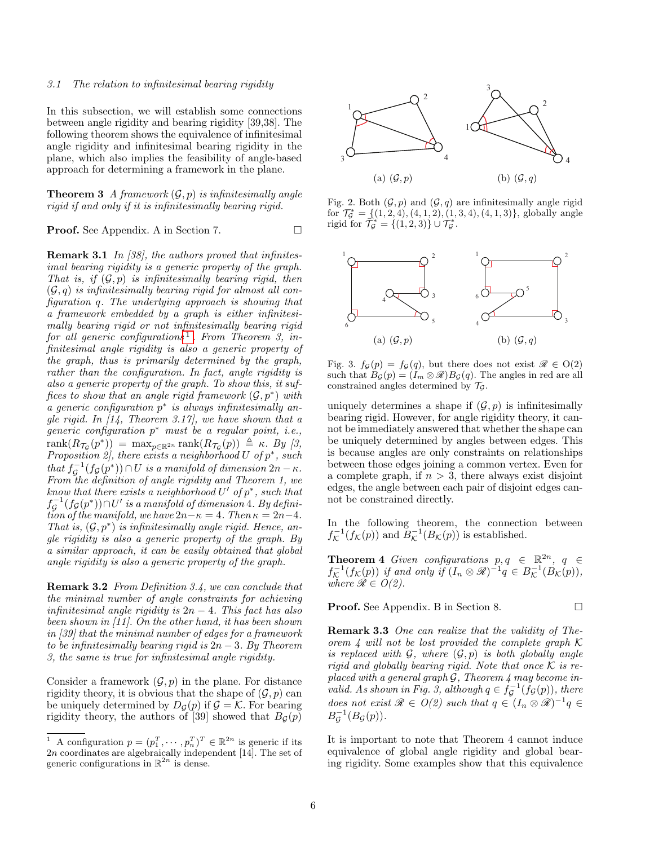#### 3.1 The relation to infinitesimal bearing rigidity

In this subsection, we will establish some connections between angle rigidity and bearing rigidity [39,38]. The following theorem shows the equivalence of infinitesimal angle rigidity and infinitesimal bearing rigidity in the plane, which also implies the feasibility of angle-based approach for determining a framework in the plane.

**Theorem 3** A framework  $(\mathcal{G}, p)$  is infinitesimally angle rigid if and only if it is infinitesimally bearing rigid.

**Proof.** See Appendix. A in Section 7. □

Remark 3.1 In [38], the authors proved that infinitesimal bearing rigidity is a generic property of the graph. That is, if  $(\mathcal{G}, p)$  is infinitesimally bearing rigid, then  $(\mathcal{G}, q)$  is infinitesimally bearing rigid for almost all configuration q. The underlying approach is showing that a framework embedded by a graph is either infinitesimally bearing rigid or not infinitesimally bearing rigid  $for$  all generic configurations<sup>[1](#page-5-0)</sup>. From Theorem 3, infinitesimal angle rigidity is also a generic property of the graph, thus is primarily determined by the graph, rather than the configuration. In fact, angle rigidity is also a generic property of the graph. To show this, it suffices to show that an angle rigid framework  $(\mathcal{G}, p^*)$  with  $a$  generic configuration  $p^*$  is always infinitesimally angle rigid. In  $\left[14, \text{ Theorem 3.17}\right]$ , we have shown that a  $g$ eneric configuration  $p^*$  must be a regular point, i.e.,  $rank(R_{\mathcal{T}_{\mathcal{G}}}(p^*)) = max_{p \in \mathbb{R}^{2n}} rank(R_{\mathcal{T}_{\mathcal{G}}}(p)) \triangleq \kappa$ . By [3, Proposition 2, there exists a neighborhood  $U$  of  $p^*$ , such that  $f_{\mathcal{G}}^{-1}(f_{\mathcal{G}}(p^*)) \cap U$  is a manifold of dimension  $2n - \kappa$ . From the definition of angle rigidity and Theorem 1, we know that there exists a neighborhood  $U'$  of  $p^*$ , such that  $f_{\mathcal{G}}^{-1}(f_{\mathcal{G}}(p^*))\!\cap\!U'$  is a manifold of dimension 4. By definition of the manifold, we have  $2n-\kappa = 4$ . Then  $\kappa = 2n-4$ . That is,  $(G, p^*)$  is infinitesimally angle rigid. Hence, angle rigidity is also a generic property of the graph. By a similar approach, it can be easily obtained that global angle rigidity is also a generic property of the graph.

Remark 3.2 From Definition 3.4, we can conclude that the minimal number of angle constraints for achieving infinitesimal angle rigidity is  $2n - 4$ . This fact has also been shown in [11]. On the other hand, it has been shown in [39] that the minimal number of edges for a framework to be infinitesimally bearing rigid is  $2n-3$ . By Theorem 3, the same is true for infinitesimal angle rigidity.

Consider a framework  $(\mathcal{G}, p)$  in the plane. For distance rigidity theory, it is obvious that the shape of  $(\mathcal{G}, p)$  can be uniquely determined by  $D_{\mathcal{G}}(p)$  if  $\mathcal{G} = \mathcal{K}$ . For bearing rigidity theory, the authors of [39] showed that  $B_{\mathcal{G}}(p)$ 



Fig. 2. Both  $(\mathcal{G}, p)$  and  $(\mathcal{G}, q)$  are infinitesimally angle rigid for  $\mathcal{T}_{\mathcal{G}}^* = \{(1, 2, 4), (4, 1, 2), (1, 3, 4), (4, 1, 3)\}\$ , globally angle rigid for  $\overrightarrow{T}_{\mathcal{G}}^* = \{(1,2,3)\}\cup \overrightarrow{T}_{\mathcal{G}}^*$ .



Fig. 3.  $f_{\mathcal{G}}(p) = f_{\mathcal{G}}(q)$ , but there does not exist  $\mathcal{R} \in O(2)$ such that  $B_{\mathcal{G}}(p) = (I_m \otimes \mathcal{R})B_{\mathcal{G}}(q)$ . The angles in red are all constrained angles determined by  $\mathcal{T}_{\mathcal{G}}$ .

uniquely determines a shape if  $(\mathcal{G}, p)$  is infinitesimally bearing rigid. However, for angle rigidity theory, it cannot be immediately answered that whether the shape can be uniquely determined by angles between edges. This is because angles are only constraints on relationships between those edges joining a common vertex. Even for a complete graph, if  $n > 3$ , there always exist disjoint edges, the angle between each pair of disjoint edges cannot be constrained directly.

In the following theorem, the connection between  $f^{-1}_\mathcal{K}(f_\mathcal{K}(p))$  and  $B^{-1}_\mathcal{K}(B_\mathcal{K}(p))$  is established.

**Theorem 4** Given configurations  $p, q \in \mathbb{R}^{2n}$ ,  $q \in \mathbb{R}^{2n}$  $f^{-1}_\mathcal{K}(f_\mathcal{K}(p))$  if and only if  $(I_n \otimes \mathscr{R})^{-1} q \in B^{-1}_\mathcal{K}(B_\mathcal{K}(p)),$ where  $\mathscr{R} \in O(2)$ .

**Proof.** See Appendix. B in Section 8. □

Remark 3.3 One can realize that the validity of Theorem 4 will not be lost provided the complete graph  $\mathcal K$ is replaced with  $G$ , where  $(G, p)$  is both globally angle rigid and globally bearing rigid. Note that once  $\mathcal K$  is replaced with a general graph  $G$ , Theorem 4 may become invalid. As shown in Fig. 3, although  $q \in f_{\mathcal{G}}^{-1}(\check{f}_{\mathcal{G}}(p))$ , there does not exist  $\mathscr{R} \in O(2)$  such that  $q \in (I_n \otimes \mathscr{R})^{-1}q \in$  $B_{\mathcal{G}}^{-1}(B_{\mathcal{G}}(p)).$ 

It is important to note that Theorem 4 cannot induce equivalence of global angle rigidity and global bearing rigidity. Some examples show that this equivalence

<span id="page-5-0"></span><sup>&</sup>lt;sup>1</sup> A configuration  $p = (p_1^T, \dots, p_n^T)^T \in \mathbb{R}^{2n}$  is generic if its 2n coordinates are algebraically independent [14]. The set of generic configurations in  $\mathbb{R}^{2n}$  is dense.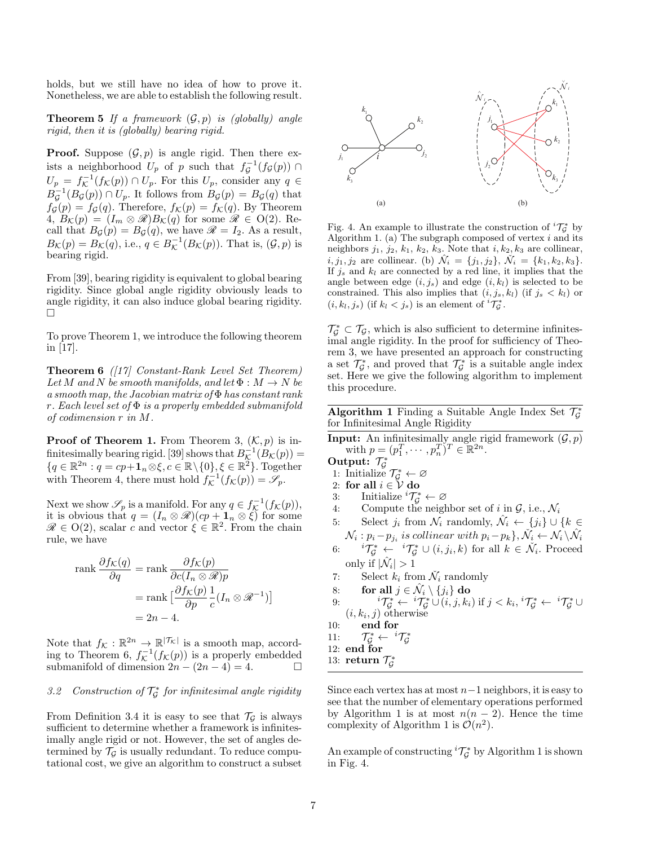holds, but we still have no idea of how to prove it. Nonetheless, we are able to establish the following result.

**Theorem 5** If a framework  $(\mathcal{G}, p)$  is (globally) angle rigid, then it is (globally) bearing rigid.

**Proof.** Suppose  $(\mathcal{G}, p)$  is angle rigid. Then there exists a neighborhood  $U_p$  of p such that  $f_{\mathcal{G}}^{-1}(f_{\mathcal{G}}(p)) \cap$  $U_p = f_{\mathcal{K}}^{-1}(f_{\mathcal{K}}(p)) \cap U_p$ . For this  $U_p$ , consider any  $q \in$  $B_{\mathcal{G}}^{-1}(B_{\mathcal{G}}(p)) \cap U_p$ . It follows from  $B_{\mathcal{G}}(p) = B_{\mathcal{G}}(q)$  that  $f_{\mathcal{G}}(p) = f_{\mathcal{G}}(q)$ . Therefore,  $f_{\mathcal{K}}(p) = f_{\mathcal{K}}(q)$ . By Theorem  $4, B_{\mathcal{K}}(p) = (I_m \otimes \mathscr{R})B_{\mathcal{K}}(q)$  for some  $\mathscr{R} \in O(2)$ . Recall that  $B_{\mathcal{G}}(p) = B_{\mathcal{G}}(q)$ , we have  $\mathcal{R} = I_2$ . As a result,  $B_{\mathcal{K}}(p) = B_{\mathcal{K}}(q)$ , i.e.,  $q \in B_{\mathcal{K}}^{-1}(B_{\mathcal{K}}(p))$ . That is,  $(\mathcal{G}, p)$  is bearing rigid. **Proof.** Suppose  $(y, p)$  is single riggin. Then there exert a subset  $U_i = f_i^{-1}(f_k(x(p)) \cap U_{i-1}$ . For this  $U_{i-1}$  for  $j=1$   $\frac{1}{2}$ , consider any  $q \in \mathbb{Z}^{\times}$ ,  $\frac{1}{2}$ ,  $\frac{1}{2}$ , for  $\frac{1}{2}$ , for  $\frac{1}{2}$ , for  $\frac$ 

From [39], bearing rigidity is equivalent to global bearing rigidity. Since global angle rigidity obviously leads to angle rigidity, it can also induce global bearing rigidity.  $\Box$ 

To prove Theorem 1, we introduce the following theorem in [17].

**Theorem 6** ( $\left|17\right|$  Constant-Rank Level Set Theorem) Let M and N be smooth manifolds, and let  $\Phi : M \to N$  be a smooth map, the Jacobian matrix of  $\Phi$  has constant rank r. Each level set of  $\Phi$  is a properly embedded submanifold of codimension r in M.

**Proof of Theorem 1.** From Theorem 3,  $(K, p)$  is infinitesimally bearing rigid. [39] shows that  $B^{-1}_\mathcal{K}(B_\mathcal{K}(p)) =$  ${q \in \mathbb{R}^{2n} : q = cp+1_n \otimes \xi, c \in \mathbb{R} \setminus \{0\}, \xi \in \mathbb{R}^2}.$  Together with Theorem 4, there must hold  $f_{\mathcal{K}}^{-1}(f_{\mathcal{K}}(p)) = \mathscr{S}_p$ .

Next we show  $\mathscr{S}_p$  is a manifold. For any  $q \in f_{\mathcal{K}}^{-1}(f_{\mathcal{K}}(p)),$ it is obvious that  $q = (I_n \otimes \mathscr{R})(cp + \mathbf{1}_n \otimes \xi)$  for some  $\mathscr{R} \in O(2)$ , scalar c and vector  $\xi \in \mathbb{R}^2$ . From the chain rule, we have

$$
\operatorname{rank} \frac{\partial f_{\mathcal{K}}(q)}{\partial q} = \operatorname{rank} \frac{\partial f_{\mathcal{K}}(p)}{\partial c(I_n \otimes \mathcal{R})p}
$$

$$
= \operatorname{rank} \left[ \frac{\partial f_{\mathcal{K}}(p)}{\partial p} \frac{1}{c}(I_n \otimes \mathcal{R}^{-1}) \right]
$$

$$
= 2n - 4.
$$

Note that  $f_{\mathcal{K}} : \mathbb{R}^{2n} \to \mathbb{R}^{|\mathcal{T}_{\mathcal{K}}|}$  is a smooth map, according to Theorem 6,  $f_{\mathcal{K}}^{-1}(f_{\mathcal{K}}(p))$  is a properly embedded submanifold of dimension  $2n - (2n - 4) = 4$ .

# 3.2 Construction of  $\mathcal{T}_{\mathcal{G}}^*$  for infinitesimal angle rigidity

From Definition 3.4 it is easy to see that  $\mathcal{T}_G$  is always sufficient to determine whether a framework is infinitesimally angle rigid or not. However, the set of angles determined by  $\mathcal{T}_{\mathcal{G}}$  is usually redundant. To reduce compu-



Fig. 4. An example to illustrate the construction of  ${}^{i} \mathcal{T}_{\mathcal{G}}^{*}$  by Algorithm 1. (a) The subgraph composed of vertex  $i$  and its neighbors  $j_1$ ,  $j_2$ ,  $k_1$ ,  $k_2$ ,  $k_3$ . Note that  $i, k_2, k_3$  are collinear,  $i, j_1, j_2$  are collinear. (b)  $\hat{\mathcal{N}}_i = \{j_1, j_2\}, \, \check{\mathcal{N}}_i = \{k_1, k_2, k_3\}.$ If  $j_s$  and  $k_l$  are connected by a red line, it implies that the angle between edge  $(i, j_s)$  and edge  $(i, k_l)$  is selected to be constrained. This also implies that  $(i, j_s, k_l)$  (if  $j_s < k_l$ ) or  $(i, k_l, j_s)$  (if  $k_l < j_s$ ) is an element of  ${}^{i} \mathcal{T}_{\mathcal{G}}^*$ .

 $\mathcal{T}_{\mathcal{G}}^* \subset \mathcal{T}_{\mathcal{G}}$ , which is also sufficient to determine infinitesimal angle rigidity. In the proof for sufficiency of Theorem 3, we have presented an approach for constructing a set  $\mathcal{T}_{\mathcal{G}}^*$ , and proved that  $\mathcal{T}_{\mathcal{G}}^*$  is a suitable angle index set. Here we give the following algorithm to implement this procedure.

Algorithm 1 Finding a Suitable Angle Index Set  $\mathcal{T}_{\mathcal{G}}^*$ for Infinitesimal Angle Rigidity

- **Input:** An infinitesimally angle rigid framework  $(\mathcal{G}, p)$ with  $p = (p_1^T, \dots, p_n^T)^T \in \mathbb{R}^{2n}$ .
- 
- Output:  $\mathcal{T}_{\mathcal{G}}^*$ <br>1: Initialize  $\mathcal{T}_{\mathcal{G}}^* \leftarrow \varnothing$
- 2: for all  $i \in V$  do
- 3: Initialize  ${}^{i} \mathcal{T}_{\mathcal{G}}^* \leftarrow \varnothing$
- 4: Compute the neighbor set of i in  $\mathcal{G}$ , i.e.,  $\mathcal{N}_i$
- 5: Select  $j_i$  from  $\mathcal{N}_i$  randomly,  $\hat{\mathcal{N}}_i \leftarrow \{j_i\} \cup \{k \in$
- $\mathcal{N}_i: p_i-p_{j_i}$  is collinear with  $p_i-p_k$ ,  $\breve{\mathcal{N}}_i \leftarrow \mathcal{N}_i \setminus \hat{\mathcal{N}}_i$ <br>
6:  ${}^{i}T^*_{\mathcal{G}} \leftarrow {}^{i}T^*_{\mathcal{G}} \cup (i, j_i, k)$  for all  $k \in \breve{\mathcal{N}}_i$ . Proceed only if  $|\hat{\mathcal{N}}_i| > 1$
- 7: Select  $k_i$  from  $\check{\mathcal{N}}_i$  randomly
- 8: for all  $j \in \hat{\mathcal{N}}_i \setminus \{j_i\}$  do

9: 
$$
i\mathcal{T}_{\mathcal{G}}^* \leftarrow i\mathcal{T}_{\mathcal{G}}^* \cup (i, j, k_i) \text{ if } j < k_i, \, i\mathcal{T}_{\mathcal{G}}^* \leftarrow i\mathcal{T}_{\mathcal{G}}^* \cup (i, k_i, j) \text{ otherwise}
$$

10: end for

 $11:$  $\vec{f}_{\mathcal{G}}^* \leftarrow ~^i\mathcal{T}_{\mathcal{G}}^*$ 

12: end for

13: return  $\mathcal{T}_{\mathcal{G}}^*$ 

Since each vertex has at most  $n-1$  neighbors, it is easy to see that the number of elementary operations performed by Algorithm 1 is at most  $n(n-2)$ . Hence the time complexity of Algorithm 1 is  $\mathcal{O}(n^2)$ .

An example of constructing  ${}^{i}T_{\mathcal{G}}^{*}$  by Algorithm 1 is shown in Fig. 4.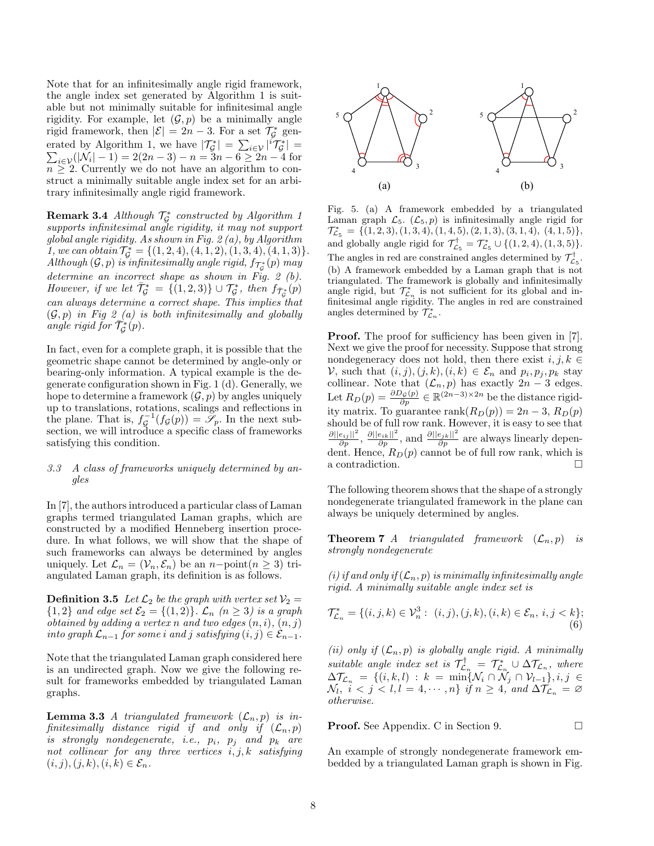Note that for an infinitesimally angle rigid framework, the angle index set generated by Algorithm 1 is suitable but not minimally suitable for infinitesimal angle rigidity. For example, let  $(\mathcal{G}, p)$  be a minimally angle rigid framework, then  $|\mathcal{E}| = 2n - 3$ . For a set  $\mathcal{T}_{\mathcal{G}}^*$  generated by Algorithm 1, we have  $|\mathcal{T}_{\mathcal{G}}^*| = \sum_{i \in \mathcal{V}} |\tilde{^i}\mathcal{T}_{\mathcal{G}}^*|$ <br> $\sum_{i \in \mathcal{V}}(|\mathcal{N}_i| - 1) = 2(2n - 3) - n = 3n - 6 \ge 2n - 4$  $\vert$  =  $i \in \mathcal{V}(|\mathcal{N}_i| - 1) = 2(2n - 3) - n = 3n - 6 \ge 2n - 4$  for  $n \geq 2$ . Currently we do not have an algorithm to construct a minimally suitable angle index set for an arbitrary infinitesimally angle rigid framework.

**Remark 3.4** Although  $\mathcal{T}_{\mathcal{G}}^*$  constructed by Algorithm 1 supports infinitesimal angle rigidity, it may not support global angle rigidity. As shown in Fig. 2 (a), by Algorithm 1, we can obtain  $\mathcal{T}_{\mathcal{G}}^* = \{(1, 2, 4), (4, 1, 2), (1, 3, 4), (4, 1, 3)\}.$ Although  $(G, p)$  is infinitesimally angle rigid,  $f_{\mathcal{T}_{c}^{*}}(p)$  may determine an incorrect shape as shown in Fig. 2 (b). However, if we let  $\bar{\mathcal{T}}_{\mathcal{G}}^* = \{ (1,2,3) \} \cup \mathcal{T}_{\mathcal{G}}^*$ , then  $f_{\bar{\mathcal{T}}_{\mathcal{G}}^*}(p)$ can always determine a correct shape. This implies that  $(\mathcal{G}, p)$  in Fig 2 (a) is both infinitesimally and globally angle rigid for  $\overrightarrow{T}_{\mathcal{G}}^{*}(p)$ .

In fact, even for a complete graph, it is possible that the geometric shape cannot be determined by angle-only or bearing-only information. A typical example is the degenerate configuration shown in Fig. 1 (d). Generally, we hope to determine a framework  $(\mathcal{G}, p)$  by angles uniquely up to translations, rotations, scalings and reflections in the plane. That is,  $f_{\mathcal{G}}^{-1}(f_{\mathcal{G}}(p)) = \mathcal{S}_p$ . In the next subsection, we will introduce a specific class of frameworks satisfying this condition.

#### 3.3 A class of frameworks uniquely determined by angles

In [7], the authors introduced a particular class of Laman graphs termed triangulated Laman graphs, which are constructed by a modified Henneberg insertion procedure. In what follows, we will show that the shape of such frameworks can always be determined by angles uniquely. Let  $\mathcal{L}_n = (\mathcal{V}_n, \mathcal{E}_n)$  be an  $n-\text{point}(n \geq 3)$  triangulated Laman graph, its definition is as follows.

**Definition 3.5** Let  $\mathcal{L}_2$  be the graph with vertex set  $\mathcal{V}_2$  =  ${1, 2}$  and edge set  $\mathcal{E}_2 = {(1, 2)}$ .  $\mathcal{L}_n$   $(n \geq 3)$  is a graph obtained by adding a vertex n and two edges  $(n, i)$ ,  $(n, j)$ into graph  $\mathcal{L}_{n-1}$  for some i and j satisfying  $(i, j) \in \mathcal{E}_{n-1}$ .

Note that the triangulated Laman graph considered here is an undirected graph. Now we give the following result for frameworks embedded by triangulated Laman graphs.

**Lemma 3.3** A triangulated framework  $(\mathcal{L}_n, p)$  is infinitesimally distance rigid if and only if  $(\mathcal{L}_n, p)$ is strongly nondegenerate, i.e.,  $p_i$ ,  $p_j$  and  $p_k$  are not collinear for any three vertices  $i, j, k$  satisfying  $(i, j), (j, k), (i, k) \in \mathcal{E}_n$ .



 $\mathcal{T}_{\mathcal{L}_5}^* = \{ (1, 2, 3), (1, 3, 4), (1, 4, 5), (2, 1, 3), (3, 1, 4), (4, 1, 5) \},\$ Laman graph  $\mathcal{L}_5$ .  $(\mathcal{L}_5, p)$  is infinitesimally angle rigid for (b) A framework embedded by a Laman graph that is not and globally angle rigid for  $\mathcal{T}^{\dagger}_{\mathcal{L}_5} = \mathcal{T}^*_{\mathcal{L}_5} \cup \{(1,2,4), (1,3,5)\}.$ 3 Fig. 5. (a) A framework embedded by a triangulated  $\frac{1}{2}$  of  $\frac{1}{2}$  in Triangulated. The framework is globally and infinitesimally The angles in red are constrained angles determined by  $\mathcal{T}^\dagger_{\mathcal{L}_5}.$ angle rigid, but  $\mathcal{T}_{\mathcal{L}_n}^*$  is not sufficient for its global and infinitesimal angle rigidity. The angles in red are constrained angles determined by  $\mathcal{T}_{\mathcal{L}_n}^*$ .

Proof. The proof for sufficiency has been given in [7]. Next we give the proof for necessity. Suppose that strong nondegeneracy does not hold, then there exist  $i, j, k \in$ V, such that  $(i, j), (j, k), (i, k) \in \mathcal{E}_n$  and  $p_i, p_j, p_k$  stay collinear. Note that  $(\mathcal{L}_n, p)$  has exactly  $2n - 3$  edges. Let  $R_D(p) = \frac{\partial D_{\mathcal{G}}(p)}{\partial p} \in \mathbb{R}^{(2n-3)\times 2n}$  be the distance rigidity matrix. To guarantee rank $(R_D(p)) = 2n - 3$ ,  $R_D(p)$ should be of full row rank. However, it is easy to see that  $\frac{\partial ||e_{ij}||^2}{\partial p}$ ,  $\frac{\partial ||e_{ik}||^2}{\partial p}$ , and  $\frac{\partial ||e_{jk}||^2}{\partial p}$  are always linearly dependent. Hence,  $R_D(p)$  cannot be of full row rank, which is a contradiction.  $\Box$ 

The following theorem shows that the shape of a strongly nondegenerate triangulated framework in the plane can always be uniquely determined by angles.

**Theorem 7** A triangulated framework  $(\mathcal{L}_n, p)$  is strongly nondegenerate

(i) if and only if  $(\mathcal{L}_n, p)$  is minimally infinitesimally angle rigid. A minimally suitable angle index set is

$$
\mathcal{T}_{\mathcal{L}_n}^* = \{ (i, j, k) \in \mathcal{V}_n^3 : (i, j), (j, k), (i, k) \in \mathcal{E}_n, i, j < k \};\tag{6}
$$

(ii) only if  $(\mathcal{L}_n, p)$  is globally angle rigid. A minimally suitable angle index set is  $\mathcal{T}^\dagger_{\mathcal{L}_n} = \mathcal{T}^*_{\mathcal{L}_n} \cup \Delta \mathcal{T}_{\mathcal{L}_n}$ , where  $\Delta \mathcal{T}_{\mathcal{L}_n} \;=\; \{(i, k, l) \;:\; k \;=\; \min\{\mathcal{N}_i \cap \mathcal{N}_j \cap \mathcal{V}_{l-1}\}, i,j \; \in$  $\mathcal{N}_l, \tilde{i} < j < l, l = 4, \cdots, n\}$  if  $n \geq 4$ , and  $\Delta \mathcal{T}_{\mathcal{L}_n} = \varnothing$ otherwise.

**Proof.** See Appendix. C in Section 9. □

An example of strongly nondegenerate framework embedded by a triangulated Laman graph is shown in Fig.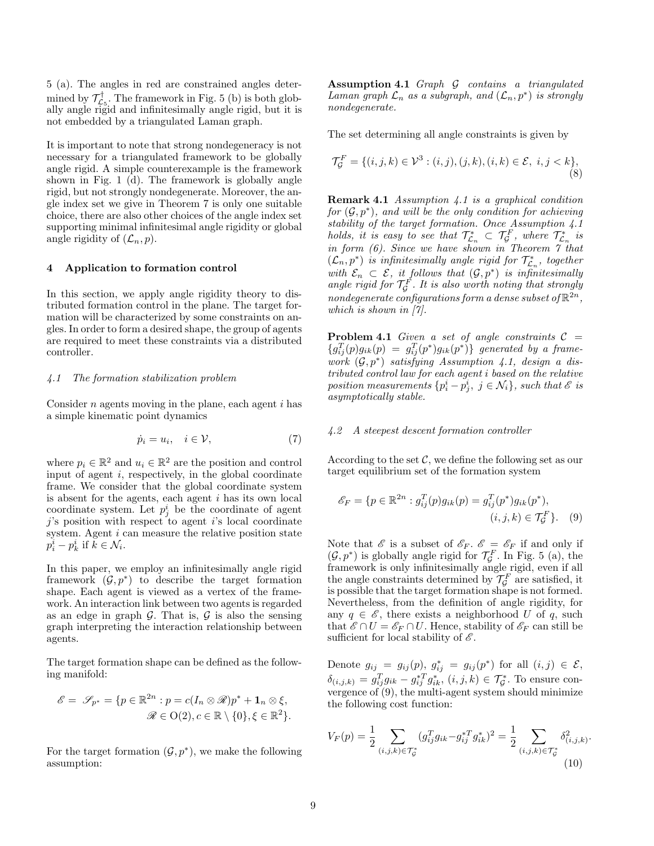5 (a). The angles in red are constrained angles determined by  $\mathcal{T}_{\mathcal{L}_5}^{\dagger}$ . The framework in Fig. 5 (b) is both globally angle rigid and infinitesimally angle rigid, but it is not embedded by a triangulated Laman graph.

It is important to note that strong nondegeneracy is not necessary for a triangulated framework to be globally angle rigid. A simple counterexample is the framework shown in Fig. 1 (d). The framework is globally angle rigid, but not strongly nondegenerate. Moreover, the angle index set we give in Theorem 7 is only one suitable choice, there are also other choices of the angle index set supporting minimal infinitesimal angle rigidity or global angle rigidity of  $(\mathcal{L}_n, p)$ .

#### 4 Application to formation control

In this section, we apply angle rigidity theory to distributed formation control in the plane. The target formation will be characterized by some constraints on angles. In order to form a desired shape, the group of agents are required to meet these constraints via a distributed controller.

# 4.1 The formation stabilization problem

Consider  $n$  agents moving in the plane, each agent  $i$  has a simple kinematic point dynamics

$$
\dot{p}_i = u_i, \quad i \in \mathcal{V}, \tag{7}
$$

where  $p_i \in \mathbb{R}^2$  and  $u_i \in \mathbb{R}^2$  are the position and control input of agent i, respectively, in the global coordinate frame. We consider that the global coordinate system is absent for the agents, each agent  $i$  has its own local coordinate system. Let  $p_j^i$  be the coordinate of agent  $j$ 's position with respect to agent i's local coordinate system. Agent  $i$  can measure the relative position state  $p_i^i - p_k^i$  if  $\tilde{k} \in \mathcal{N}_i$ .

In this paper, we employ an infinitesimally angle rigid framework  $(\mathcal{G}, p^*)$  to describe the target formation shape. Each agent is viewed as a vertex of the framework. An interaction link between two agents is regarded as an edge in graph  $\mathcal G$ . That is,  $\mathcal G$  is also the sensing graph interpreting the interaction relationship between agents.

The target formation shape can be defined as the following manifold:

$$
\mathscr{E} = \mathscr{S}_{p^*} = \{ p \in \mathbb{R}^{2n} : p = c(I_n \otimes \mathscr{R})p^* + \mathbf{1}_n \otimes \xi, \mathscr{R} \in O(2), c \in \mathbb{R} \setminus \{0\}, \xi \in \mathbb{R}^2 \}.
$$

For the target formation  $(\mathcal{G}, p^*)$ , we make the following assumption:

Assumption 4.1 Graph G contains a triangulated Laman graph  $\mathcal{L}_n$  as a subgraph, and  $(\mathcal{L}_n, p^*)$  is strongly nondegenerate.

The set determining all angle constraints is given by

$$
\mathcal{T}_{\mathcal{G}}^F = \{ (i, j, k) \in \mathcal{V}^3 : (i, j), (j, k), (i, k) \in \mathcal{E}, i, j < k \},\tag{8}
$$

Remark 4.1 Assumption 4.1 is a graphical condition  $for (\mathcal G, p^*)$ , and will be the only condition for achieving stability of the target formation. Once Assumption 4.1 holds, it is easy to see that  $\mathcal{T}^*_{\mathcal{L}_n} \subset \mathcal{T}^F_{\mathcal{G}}$ , where  $\mathcal{T}^*_{\mathcal{L}_n}$  is in form (6). Since we have shown in Theorem 7 that  $(\mathcal{L}_n, p^*)$  is infinitesimally angle rigid for  $\mathcal{T}^*_{\mathcal{L}_n}$ , together with  $\mathcal{E}_n \subset \mathcal{E}$ , it follows that  $(\mathcal{G}, p^*)$  is infinitesimally angle rigid for  $\mathcal{T}_{\mathcal{G}}^F$ . It is also worth noting that strongly nondegenerate configurations form a dense subset of  $\mathbb{R}^{2n}$ , which is shown in [7].

**Problem 4.1** Given a set of angle constraints  $C =$  ${g_{ij}^T(p)g_{ik}(p) = g_{ij}^T(p^*)g_{ik}(p^*) }\$  generated by a framework  $(\mathcal{G}, p^*)$  satisfying Assumption 4.1, design a distributed control law for each agent i based on the relative position measurements  $\{p_i^i - p_j^i, j \in \mathcal{N}_i\}$ , such that  $\mathscr{E}$  is asymptotically stable.

# 4.2 A steepest descent formation controller

According to the set  $\mathcal{C}$ , we define the following set as our target equilibrium set of the formation system

$$
\mathcal{E}_F = \{ p \in \mathbb{R}^{2n} : g_{ij}^T(p) g_{ik}(p) = g_{ij}^T(p^*) g_{ik}(p^*),
$$
  

$$
(i, j, k) \in \mathcal{T}_g^F \}.
$$
 (9)

Note that  $\mathscr E$  is a subset of  $\mathscr E_F$ .  $\mathscr E = \mathscr E_F$  if and only if  $(\mathcal G,p^*)$  is globally angle rigid for  $\mathcal T_{\mathcal G}^F.$  In Fig. 5 (a), the framework is only infinitesimally angle rigid, even if all the angle constraints determined by  $\mathcal{T}_{\mathcal{G}}^F$  are satisfied, it is possible that the target formation shape is not formed. Nevertheless, from the definition of angle rigidity, for any  $q \in \mathscr{E}$ , there exists a neighborhood U of q, such that  $\mathscr{E} \cap U = \mathscr{E}_F \cap U$ . Hence, stability of  $\mathscr{E}_F$  can still be sufficient for local stability of  $\mathscr{E}$ .

Denote  $g_{ij} = g_{ij}(p)$ ,  $g_{ij}^* = g_{ij}(p^*)$  for all  $(i, j) \in \mathcal{E}$ ,  $\delta_{(i,j,k)} = g_{ij}^T g_{ik} - g_{ij}^{*T} g_{ik}^{*}, (i,j,k) \in \mathcal{T}_{\mathcal{G}}^*$ . To ensure convergence of  $(9)$ , the multi-agent system should minimize the following cost function:

$$
V_F(p) = \frac{1}{2} \sum_{(i,j,k)\in \mathcal{T}_{\mathcal{G}}^*} (g_{ij}^T g_{ik} - g_{ij}^{*T} g_{ik}^*)^2 = \frac{1}{2} \sum_{(i,j,k)\in \mathcal{T}_{\mathcal{G}}^*} \delta^2_{(i,j,k)}.
$$
\n(10)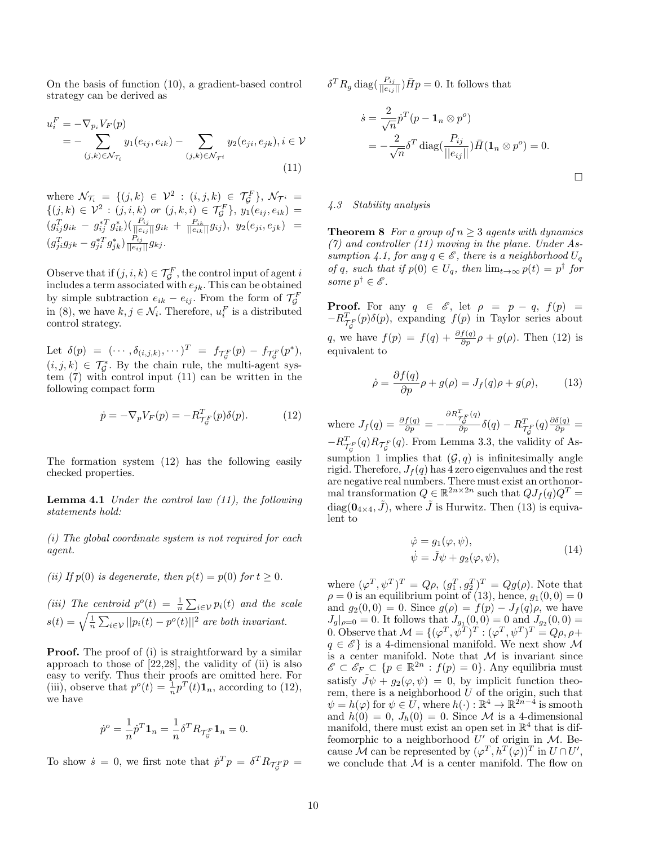On the basis of function (10), a gradient-based control strategy can be derived as

$$
u_i^F = -\nabla_{p_i} V_F(p)
$$
  
= 
$$
-\sum_{(j,k)\in\mathcal{N}_{\mathcal{T}_i}} y_1(e_{ij}, e_{ik}) - \sum_{(j,k)\in\mathcal{N}_{\mathcal{T}^i}} y_2(e_{ji}, e_{jk}), i \in \mathcal{V}
$$
  
(11)

where  $\mathcal{N}_{\mathcal{T}_i} = \{ (j,k) \in \mathcal{V}^2 : (i,j,k) \in \mathcal{T}_{\mathcal{G}}^F \}, \, \mathcal{N}_{\mathcal{T}^i} =$  $\{(j,k) \in \mathcal{V}^2 : (j,i,k) \text{ or } (j,k,i) \in \mathcal{T}_{\mathcal{G}}^F\}, y_1(e_{ij},e_{ik}) =$  $(g_{ij}^T g_{ik} - g_{ij}^{*T} g_{ik}^{*}) (\frac{P_{ij}}{||e_{ij}||} g_{ik} + \frac{P_{ik}}{||e_{ik}||} g_{ij}), \ y_2(e_{ji},e_{jk}) =$  $(g_{ji}^Tg_{jk}-g_{ji}^{*T}g_{jk}^*)\frac{P_{ij}}{||e_{ij}||}g_{kj}.$ 

Observe that if  $(j, i, k) \in \mathcal{T}_{\mathcal{G}}^F$ , the control input of agent i includes a term associated with  $e_{jk}$ . This can be obtained by simple subtraction  $e_{ik} - e_{ij}$ . From the form of  $\mathcal{T}_{\mathcal{G}}^F$ in (8), we have  $k, j \in \mathcal{N}_i$ . Therefore,  $u_i^F$  is a distributed control strategy.

Let  $\delta(p) = (\cdots, \delta_{(i,j,k)}, \cdots)^T = f_{\mathcal{T}_{\mathcal{G}}^F}(p) - f_{\mathcal{T}_{\mathcal{G}}^F}(p^*),$  $(i, j, k) \in \mathcal{T}_{\mathcal{G}}^*$ . By the chain rule, the multi-agent system (7) with control input (11) can be written in the following compact form

$$
\dot{p} = -\nabla_p V_F(p) = -R_{\mathcal{T}_{\mathcal{G}}^F}^T(p)\delta(p). \tag{12}
$$

The formation system (12) has the following easily checked properties.

**Lemma 4.1** Under the control law  $(11)$ , the following statements hold:

(i) The global coordinate system is not required for each agent.

(ii) If  $p(0)$  is degenerate, then  $p(t) = p(0)$  for  $t \geq 0$ .

(iii) The centroid  $p^o(t) = \frac{1}{n} \sum_{i \in \mathcal{V}} p_i(t)$  and the scale  $s(t) = \sqrt{\frac{1}{n} \sum_{i \in \mathcal{V}} ||p_i(t) - p^o(t)||^2}$  are both invariant.

**Proof.** The proof of (i) is straightforward by a similar approach to those of  $[22,28]$ , the validity of  $(ii)$  is also easy to verify. Thus their proofs are omitted here. For (iii), observe that  $p^o(t) = \frac{1}{n} p^T(t) \mathbf{1}_n$ , according to (12), we have

$$
\dot{p}^o = \frac{1}{n} \dot{p}^T \mathbf{1}_n = \frac{1}{n} \delta^T R_{\mathcal{T}_{\mathcal{G}}^F} \mathbf{1}_n = 0.
$$

To show  $\dot{s} = 0$ , we first note that  $\dot{p}^T p = \delta^T R_{\mathcal{T}_{\mathcal{G}}^F} p =$ 

 $\delta^T R_g \operatorname{diag}(\frac{P_{ij}}{||e_{ij}||}) \bar{H}p = 0$ . It follows that

$$
\dot{s} = \frac{2}{\sqrt{n}} \dot{p}^T (p - \mathbf{1}_n \otimes p^o)
$$
  
=  $-\frac{2}{\sqrt{n}} \delta^T \operatorname{diag}(\frac{P_{ij}}{||e_{ij}||}) \bar{H} (\mathbf{1}_n \otimes p^o) = 0.$ 

# 4.3 Stability analysis

**Theorem 8** For a group of  $n > 3$  agents with dynamics  $(7)$  and controller  $(11)$  moving in the plane. Under Assumption 4.1, for any  $q \in \mathscr{E}$ , there is a neighborhood  $U_q$ of q, such that if  $p(0) \in U_q$ , then  $\lim_{t\to\infty} p(t) = p^{\dagger}$  for some  $p^{\dagger} \in \mathscr{E}$ .

**Proof.** For any  $q \in \mathscr{E}$ , let  $\rho = p - q$ ,  $f(p) =$  $-R_{\mathcal{T}_{\mathcal{G}}^F}^T(p)\delta(p)$ , expanding  $f(p)$  in Taylor series about q, we have  $f(p) = f(q) + \frac{\partial f(q)}{\partial p} \rho + g(\rho)$ . Then (12) is equivalent to

$$
\dot{\rho} = \frac{\partial f(q)}{\partial p} \rho + g(\rho) = J_f(q)\rho + g(\rho), \quad (13)
$$

where  $J_f(q) = \frac{\partial f(q)}{\partial p} = \frac{\partial R_{\mathcal{T}_{\mathcal{G}}^F}^T(q)}{\partial p}\delta(q)-R_{\mathcal{T}_{\mathcal{G}}^F}^T(q)\frac{\partial \delta(q)}{\partial p}=$  $-R_{\mathcal{T}_{\mathcal{G}}^F}^T(q)R_{\mathcal{T}_{\mathcal{G}}^F}(q)$ . From Lemma 3.3, the validity of Assumption 1 implies that  $(G, q)$  is infinitesimally angle rigid. Therefore,  $J_f(q)$  has 4 zero eigenvalues and the rest are negative real numbers. There must exist an orthonormal transformation  $Q \in \mathbb{R}^{2n \times 2n}$  such that  $QJ_f(q)Q^T =$ diag( $\mathbf{0}_{4\times4}, \tilde{J}$ ), where  $\tilde{J}$  is Hurwitz. Then (13) is equivalent to

$$
\begin{aligned}\n\dot{\varphi} &= g_1(\varphi, \psi), \\
\dot{\psi} &= \tilde{J}\psi + g_2(\varphi, \psi),\n\end{aligned} \tag{14}
$$

where  $(\varphi^T, \psi^T)^T = Q\rho$ ,  $(g_1^T, g_2^T)^T = Qg(\rho)$ . Note that  $\rho = 0$  is an equilibrium point of (13), hence,  $g_1(0,0) = 0$ and  $g_2(0,0) = 0$ . Since  $g(\rho) = f(p) - J_f(q)\rho$ , we have  $J_g|_{\rho=0} = 0$ . It follows that  $J_{g_1}(0,0) = 0$  and  $J_{g_2}(0,0) =$ 0. Observe that  $\mathcal{M} = \{(\varphi^T, \psi^T)^T : (\varphi^T, \psi^T)^T = Q\rho, \rho +$  $q \in \mathscr{E}$  is a 4-dimensional manifold. We next show M is a center manifold. Note that  $M$  is invariant since  $\mathscr{E} \subset \mathscr{E}_F \subset \{p \in \mathbb{R}^{2n} : f(p) = 0\}.$  Any equilibria must satisfy  $\tilde{J}\psi + g_2(\varphi, \psi) = 0$ , by implicit function theorem, there is a neighborhood  $U$  of the origin, such that  $\psi = h(\varphi)$  for  $\psi \in \widetilde{U}$ , where  $h(\cdot) : \mathbb{R}^4 \to \mathbb{R}^{2n-4}$  is smooth and  $h(0) = 0$ ,  $J_h(0) = 0$ . Since M is a 4-dimensional manifold, there must exist an open set in  $\mathbb{R}^4$  that is diffeomorphic to a neighborhood  $U'$  of origin in M. Because  $\mathcal M$  can be represented by  $(\varphi^T, h^T(\varphi))^T$  in  $U \cap U'$ , we conclude that  $M$  is a center manifold. The flow on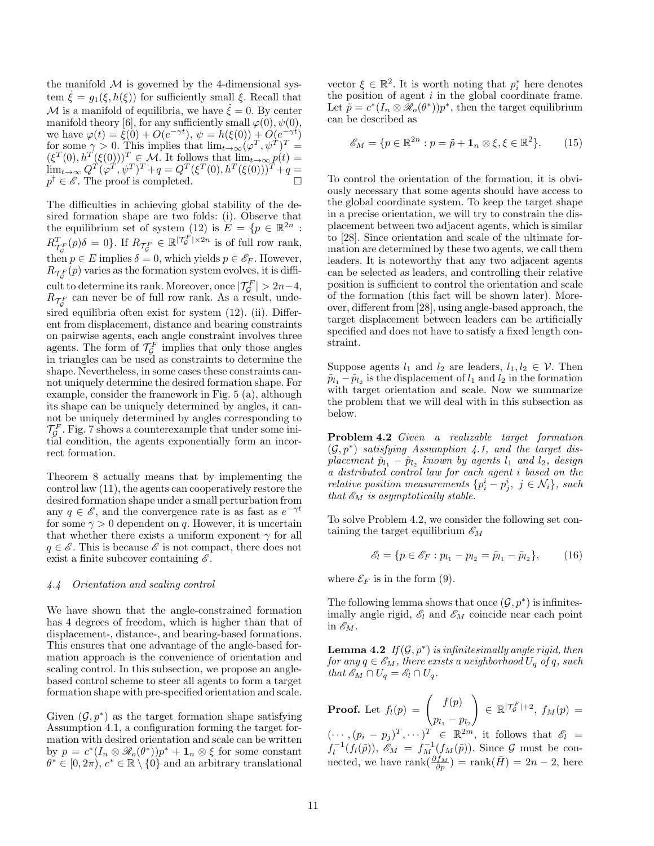the manifold  $\mathcal M$  is governed by the 4-dimensional system  $\xi = g_1(\xi, h(\xi))$  for sufficiently small  $\xi$ . Recall that  $M$  is a manifold of equilibria, we have  $\dot{\xi} = 0$ . By center manifold theory [6], for any sufficiently small  $\varphi(0), \psi(0)$ , we have  $\varphi(t) = \xi(0) + O(e^{-\gamma t}), \psi = h(\xi(0)) + O(e^{-\gamma t})$ for some  $\gamma > 0$ . This implies that  $\lim_{t \to \infty} (\varphi^T, \psi^T)^T =$  $(\xi^T(0), h^T(\xi(0)))^T \in \mathcal{M}$ . It follows that  $\lim_{t\to\infty} p(t) =$  $\lim_{t\to\infty} Q^T(\varphi^T, \psi^T)^T + q = Q^T(\xi^T(0), h^T(\xi(0)))^T + q =$  $p^{\dagger} \in \mathscr{E}$ . The proof is completed.

The difficulties in achieving global stability of the desired formation shape are two folds: (i). Observe that the equilibrium set of system (12) is  $E = \{p \in \mathbb{R}^{2n} :$  $R^T_{\mathcal{T}_{\mathcal{G}}}(p)\delta = 0$ . If  $R_{\mathcal{T}_{\mathcal{G}}^F} \in \mathbb{R}^{|\mathcal{T}_{\mathcal{G}}^F| \times 2n}$  is of full row rank, then  $p \in E$  implies  $\delta = 0$ , which yields  $p \in \mathscr{E}_F$ . However,  $R_{\mathcal{T}_{\mathcal{G}}^{F}}(p)$  varies as the formation system evolves, it is difficult to determine its rank. Moreover, once  $|\mathcal{T}_{\mathcal{G}}^F| > 2n-4$ ,  $R_{\mathcal{T}_{\mathcal{G}}^F}$  can never be of full row rank. As a result, undesired equilibria often exist for system (12). (ii). Different from displacement, distance and bearing constraints on pairwise agents, each angle constraint involves three agents. The form of  $\mathcal{T}_{\mathcal{G}}^F$  implies that only those angles in triangles can be used as constraints to determine the shape. Nevertheless, in some cases these constraints cannot uniquely determine the desired formation shape. For example, consider the framework in Fig. 5 (a), although its shape can be uniquely determined by angles, it cannot be uniquely determined by angles corresponding to  $\mathcal{T}_{\mathcal{G}}^F$ . Fig. 7 shows a counterexample that under some initial condition, the agents exponentially form an incorrect formation.

Theorem 8 actually means that by implementing the control law (11), the agents can cooperatively restore the desired formation shape under a small perturbation from any  $q \in \mathscr{E}$ , and the convergence rate is as fast as  $e^{-\gamma t}$ for some  $\gamma > 0$  dependent on q. However, it is uncertain that whether there exists a uniform exponent  $\gamma$  for all  $q \in \mathscr{E}$ . This is because  $\mathscr{E}$  is not compact, there does not exist a finite subcover containing  $\mathscr{E}.$ 

#### 4.4 Orientation and scaling control

We have shown that the angle-constrained formation has 4 degrees of freedom, which is higher than that of displacement-, distance-, and bearing-based formations. This ensures that one advantage of the angle-based formation approach is the convenience of orientation and scaling control. In this subsection, we propose an anglebased control scheme to steer all agents to form a target formation shape with pre-specified orientation and scale.

Given  $(\mathcal{G}, p^*)$  as the target formation shape satisfying Assumption 4.1, a configuration forming the target formation with desired orientation and scale can be written by  $p = c^*(I_n \otimes \mathcal{R}_o(\theta^*))p^* + \mathbf{1}_n \otimes \xi$  for some constant  $\theta^* \in [0, 2\pi), c^* \in \mathbb{R} \setminus \{0\}$  and an arbitrary translational

vector  $\xi \in \mathbb{R}^2$ . It is worth noting that  $p_i^*$  here denotes the position of agent  $i$  in the global coordinate frame. Let  $\tilde{p} = c^*(I_n \otimes \tilde{\mathcal{R}}_o(\theta^*))p^*$ , then the target equilibrium can be described as

$$
\mathscr{E}_M = \{ p \in \mathbb{R}^{2n} : p = \tilde{p} + \mathbf{1}_n \otimes \xi, \xi \in \mathbb{R}^2 \}. \tag{15}
$$

To control the orientation of the formation, it is obviously necessary that some agents should have access to the global coordinate system. To keep the target shape in a precise orientation, we will try to constrain the displacement between two adjacent agents, which is similar to [28]. Since orientation and scale of the ultimate formation are determined by these two agents, we call them leaders. It is noteworthy that any two adjacent agents can be selected as leaders, and controlling their relative position is sufficient to control the orientation and scale of the formation (this fact will be shown later). Moreover, different from [28], using angle-based approach, the target displacement between leaders can be artificially specified and does not have to satisfy a fixed length constraint.

Suppose agents  $l_1$  and  $l_2$  are leaders,  $l_1, l_2 \in \mathcal{V}$ . Then  $\tilde{p}_{l_1} - \tilde{p}_{l_2}$  is the displacement of  $l_1$  and  $l_2$  in the formation with target orientation and scale. Now we summarize the problem that we will deal with in this subsection as below.

Problem 4.2 Given a realizable target formation  $(\mathcal{G}, p^*)$  satisfying Assumption 4.1, and the target displacement  $\tilde{p}_{l_1} - \tilde{p}_{l_2}$  known by agents  $l_1$  and  $l_2$ , design a distributed control law for each agent i based on the relative position measurements  $\{p_i^i - p_j^i, j \in \mathcal{N}_i\}$ , such that  $\mathscr{E}_M$  is asymptotically stable.

To solve Problem 4.2, we consider the following set containing the target equilibrium  $\mathscr{E}_M$ 

$$
\mathcal{E}_l = \{ p \in \mathcal{E}_F : p_{l_1} - p_{l_2} = \tilde{p}_{l_1} - \tilde{p}_{l_2} \},\qquad(16)
$$

where  $\mathcal{E}_F$  is in the form (9).

The following lemma shows that once  $(\mathcal{G}, p^*)$  is infinitesimally angle rigid,  $\mathscr{E}_l$  and  $\mathscr{E}_M$  coincide near each point in  $\mathscr{E}_M$ .

**Lemma 4.2** If  $(G, p^*)$  is infinitesimally angle rigid, then for any  $q \in \mathscr{E}_M$ , there exists a neighborhood  $U_q$  of q, such that  $\mathscr{E}_M \cap U_q = \mathscr{E}_l \cap U_q$ .

**Proof.** Let 
$$
f_l(p) = \begin{pmatrix} f(p) \\ p_{l_1} - p_{l_2} \end{pmatrix} \in \mathbb{R}^{|\mathcal{T}_g^F| + 2}
$$
,  $f_M(p) =$   
 $(\dots, (p_i - p_j)^T, \dots)^T \in \mathbb{R}^{2m}$ , it follows that  $\mathscr{E}_l =$   
 $f_l^{-1}(f_l(\tilde{p}))$ ,  $\mathscr{E}_M = f_M^{-1}(f_M(\tilde{p}))$ . Since  $\mathcal{G}$  must be connected, we have rank $(\frac{\partial f_M}{\partial p})$  = rank $(\bar{H}) = 2n - 2$ , here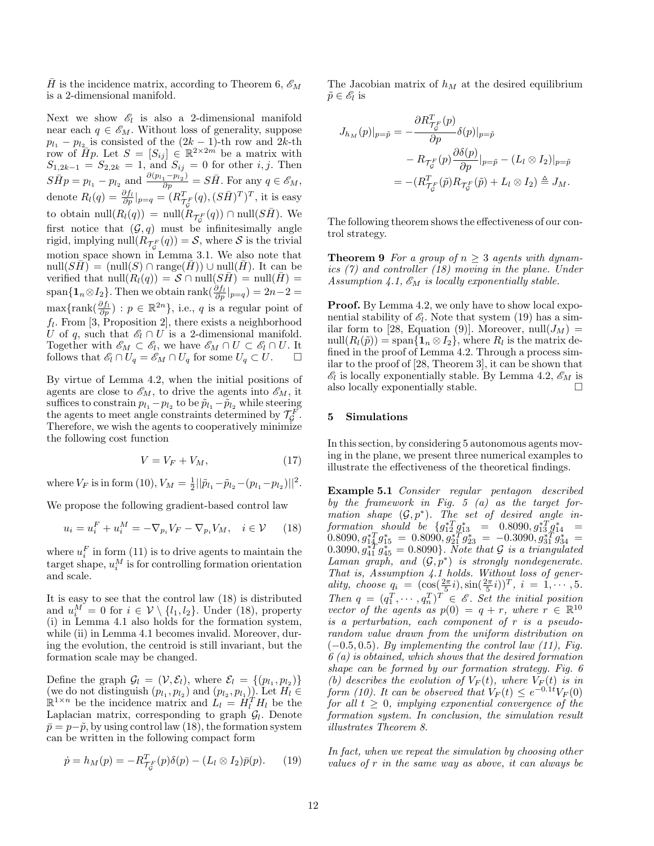H is the incidence matrix, according to Theorem 6,  $\mathscr{E}_M$ is a 2-dimensional manifold.

Next we show  $\mathscr{E}_l$  is also a 2-dimensional manifold near each  $q \in \mathscr{E}_M$ . Without loss of generality, suppose  $p_{l_1} - p_{l_2}$  is consisted of the  $(2k-1)$ -th row and  $2k$ -th row of  $\overline{H}p$ . Let  $S = [S_{ij}] \in \mathbb{R}^{2 \times 2m}$  be a matrix with  $S_{1,2k-1} = S_{2,2k} = 1$ , and  $S_{ij} = 0$  for other *i*, *j*. Then  $S\bar{H}p = p_{l_1} - p_{l_2}$  and  $\frac{\partial (p_{l_1} - p_{l_2})}{\partial p} = S\bar{H}$ . For any  $q \in \mathscr{E}_M$ , denote  $R_l(q) = \frac{\partial f_l}{\partial p}|_{p=q} = (R_{\mathcal{T}_{\mathcal{G}}^F}^T(q), (S\bar{H})^T)^T$ , it is easy to obtain  $\mathrm{null}(R_l(q)) = \mathrm{null}(\tilde{R}_{\mathcal{T}_{\mathcal{G}}^F}(q)) \cap \mathrm{null}(S\bar{H}).$  We first notice that  $(G, q)$  must be infinitesimally angle rigid, implying  $\mathrm{null}(R_{\mathcal{T}_{\mathcal{G}}^{F}}(q)) = \mathcal{S}$ , where  $\mathcal S$  is the trivial motion space shown in Lemma 3.1. We also note that  $null(SH) = (null(S) \cap range(H)) \cup null(H)$ . It can be verified that  $null(R_l(q)) = S \cap null(SH) = null(H) =$ span $\{\mathbf{1}_n \otimes I_2\}$ . Then we obtain rank $(\frac{\partial f_l}{\partial p}|_{p=q}) = 2n-2 = 0$  $\max\{\text{rank}(\frac{\partial f_l}{\partial p}) : p \in \mathbb{R}^{2n}\}, \text{ i.e., } q \text{ is a regular point of}$  $f_l$ . From [3, Proposition 2], there exists a neighborhood U of q, such that  $\mathscr{E}_l \cap U$  is a 2-dimensional manifold. Together with  $\mathscr{E}_M \subset \mathscr{E}_l$ , we have  $\mathscr{E}_M \cap U \subset \mathscr{E}_l \cap U$ . It follows that  $\mathscr{E}_l \cap U_q = \mathscr{E}_M \cap U_q$  for some  $U_q \subset U$ .  $\Box$ 

By virtue of Lemma 4.2, when the initial positions of agents are close to  $\mathscr{E}_M$ , to drive the agents into  $\mathscr{E}_M$ , it suffices to constrain  $p_{l_1} - p_{l_2}$  to be  $\tilde{p}_{l_1} - \tilde{p}_{l_2}$  while steering the agents to meet angle constraints determined by  $\mathcal{T}_{\mathcal{G}}^F$ . Therefore, we wish the agents to cooperatively minimize the following cost function

$$
V = V_F + V_M,\t\t(17)
$$

where  $V_F$  is in form (10),  $V_M = \frac{1}{2} ||\tilde{p}_{l_1} - \tilde{p}_{l_2} - (p_{l_1} - p_{l_2})||^2$ .

We propose the following gradient-based control law

$$
u_i = u_i^F + u_i^M = -\nabla_{p_i} V_F - \nabla_{p_i} V_M, \quad i \in \mathcal{V} \qquad (18)
$$

where  $u_i^F$  in form (11) is to drive agents to maintain the target shape,  $u_i^M$  is for controlling formation orientation and scale.

It is easy to see that the control law (18) is distributed and  $u_i^M = 0$  for  $i \in \mathcal{V} \setminus \{l_1, l_2\}$ . Under (18), property (i) in Lemma 4.1 also holds for the formation system, while (ii) in Lemma 4.1 becomes invalid. Moreover, during the evolution, the centroid is still invariant, but the formation scale may be changed.

Define the graph  $\mathcal{G}_l = (\mathcal{V}, \mathcal{E}_l)$ , where  $\mathcal{E}_l = \{(p_{l_1}, p_{l_2})\}$ (we do not distinguish  $(p_{l_1}, p_{l_2})$  and  $(p_{l_2}, p_{l_1})$ ). Let  $H_l \in \mathbb{R}^{1 \times n}$  be the incidence matrix and  $L_l = H_l^T H_l$  be the Laplacian matrix, corresponding to graph  $\mathcal{G}_l$ . Denote  $\bar{p} = p-\tilde{p}$ , by using control law (18), the formation system can be written in the following compact form

$$
\dot{p} = h_M(p) = -R_{\mathcal{T}_\mathcal{G}}^T(p)\delta(p) - (L_l \otimes I_2)\bar{p}(p). \tag{19}
$$

The Jacobian matrix of  $h_M$  at the desired equilibrium  $\tilde{p} \in \mathscr{E}_l$  is

$$
J_{h_M}(p)|_{p=\tilde{p}} = -\frac{\partial R^T_{\mathcal{T}_{\tilde{G}}}(\tilde{p})}{\partial p} \delta(p)|_{p=\tilde{p}}
$$
  

$$
- R_{\mathcal{T}_{\tilde{G}}}(\tilde{p}) \frac{\partial \delta(p)}{\partial p}|_{p=\tilde{p}} - (L_l \otimes I_2)|_{p=\tilde{p}}
$$
  

$$
= -(R^T_{\mathcal{T}_{\tilde{G}}}(\tilde{p}) R_{\mathcal{T}_{\tilde{G}}}(\tilde{p}) + L_l \otimes I_2) \triangleq J_M.
$$

The following theorem shows the effectiveness of our control strategy.

**Theorem 9** For a group of  $n \geq 3$  agents with dynamics (7) and controller (18) moving in the plane. Under Assumption 4.1,  $\mathscr{E}_M$  is locally exponentially stable.

Proof. By Lemma 4.2, we only have to show local exponential stability of  $\mathscr{E}_l$ . Note that system (19) has a similar form to [28, Equation (9)]. Moreover,  $null(J_M)$  =  $null(R_l(\tilde{p})) = \text{span}\{\mathbf{1}_n \otimes I_2\}$ , where  $R_l$  is the matrix defined in the proof of Lemma 4.2. Through a process similar to the proof of [28, Theorem 3], it can be shown that  $\mathscr{E}_l$  is locally exponentially stable. By Lemma 4.2,  $\mathscr{E}_M$  is also locally exponentially stable.  $\hfill \square$ 

#### 5 Simulations

In this section, by considering 5 autonomous agents moving in the plane, we present three numerical examples to illustrate the effectiveness of the theoretical findings.

Example 5.1 Consider regular pentagon described by the framework in Fig. 5 (a) as the target formation shape  $(\mathcal{G}, p^*)$ . The set of desired angle in- ${\it formation\_should\_be} \ \{g_{12}^{*T}g_{13}^{*} \ = \ 0.8090, g_{13}^{*T}g_{14}^{*} \ =$  $(0.8090, g_{14}^{*T}g_{15}^{*} = 0.8090, g_{21}^{*T}g_{23}^{*} = -0.3090, g_{31}^{*T}g_{34}^{*} =$  $(0.3090, g_{41}^{*T}g_{45}^{*} = 0.8090\}$ . Note that G is a triangulated Laman graph, and  $(\mathcal{G}, p^*)$  is strongly nondegenerate. That is, Assumption 4.1 holds. Without loss of generality, choose  $q_i = (\cos(\frac{2\pi}{5}i), \sin(\frac{2\pi}{5}i))^T, i = 1, \cdots, 5.$ Then  $q = (q_1^T, \dots, q_n^T)^T \in \mathscr{E}$ . Set the initial position vector of the agents as  $p(0) = q + r$ , where  $r \in \mathbb{R}^{10}$ is a perturbation, each component of r is a pseudorandom value drawn from the uniform distribution on  $(-0.5, 0.5)$ . By implementing the control law  $(11)$ , Fig.  $6(a)$  is obtained, which shows that the desired formation shape can be formed by our formation strategy. Fig. 6 (b) describes the evolution of  $V_F(t)$ , where  $V_F(t)$  is in form (10). It can be observed that  $V_F(t) \leq e^{-0.1t} V_F(0)$ for all  $t \geq 0$ , implying exponential convergence of the formation system. In conclusion, the simulation result illustrates Theorem 8.

In fact, when we repeat the simulation by choosing other values of r in the same way as above, it can always be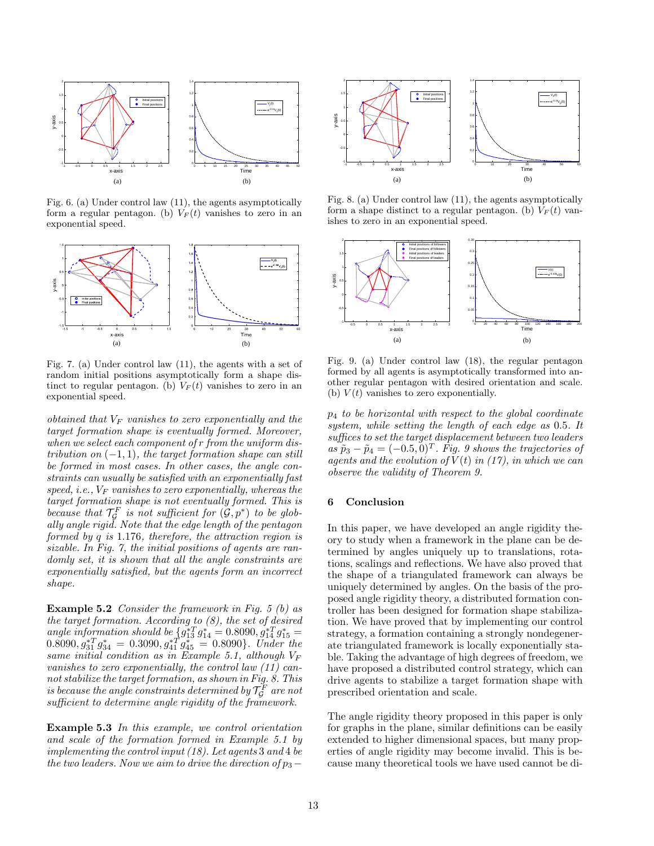

Fig.  $6.$  (a) Under control law  $(11)$ , the agents asymptotically form a regular pentagon. (b)  $V_F(t)$  vanishes to zero in an exponential speed.



exponential speed. tinct to regular pentagon. (b)  $V_F(t)$  vanishes to zero in an 1.5 Fig. 7. (a) Under control law (11), the agents with a set of random initial positions asymptotically form a shape dis-

 $when we select each component of r from the uniform dis-$ -0.5 target formation shape is eventually formed. Moreover,  $obtained that V<sub>F</sub> vanishes to zero exponentially and the$ tribution on  $(-1, 1)$ , the target formation shape can still domly set, it is shown that all the angle constraints are 0.2  $\sim$  $target$  formation shape is not eventually formed. This is  $speed, i.e., V<sub>F</sub> vanishes to zero exponentially, whereas the$ straints can usually be satisfied with an exponentially fast sizable. In Fig. 7, the initial positions of agents are ranformed by  $q$  is 1.176, therefore, the attraction region is 1 U because that  $\mathcal{T}_{\mathcal{G}}^F$  is not sufficient for  $(\mathcal{G}, p^*)$  to be globexponentially satisfied, but the agents form an incorrect be formed in most cases. In other cases, the angle conally angle rigid. Note that the edge length of the pentagon shape.

Example 5.2 Consider the framework in Fig. 5 (b) as the target formation. According to  $(8)$ , the set of desired angle information should be  $\int_4 g_{13}^{*T} g_{14}^{*} = 0.8090, g_{14}^{*T} g_{15}^{*} =$  $(0.8090, g_{31}^{*T}g_{34}^{*} = 0.3090, g_{41}^{*T}g_{45}^{*} = 0.8090\}.$  Under the same initial condition as in Example 5.1, although  $V_F$ vanishes to zero exponentially, the control law (11) cannot stabilize the target formation, as shown in Fig. 8. This is because the angle constraints determined by  $\mathcal{T}^F_{\mathcal{G}}$  are not sufficient to determine angle rigidity of the framework.

Example 5.3 In this example, we control orientation and scale of the formation formed in Example 5.1 by implementing the control input (18). Let agents 3 and 4 be the two leaders. Now we aim to drive the direction of  $p_3$  –



Fig. 8. (a) Under control law (11), the agents asymptotically form a shape distinct to a regular pentagon. (b)  $V_F(t)$  vanishes to zero in an exponential speed.



(b)  $V(t)$  vanishes to zero exponentially. other regular pentagon with desired orientation and scale. formed by all agents is asymptotically transformed into an-Fig. 9. (a) Under control law (18), the regular pentagon

observe the validity of Theorem 9. agents and the evolution of  $\tilde{V}(t)$  in (17), in which we can  $\tilde{p}_3 - \tilde{p}_4 = (-0.5, 0)^T$ . Fig. 9 shows the trajectories of  $suffices$  to set the target displacement between two leaders system, while setting the length of each edge as 0.5. It  $p_4$  to be horizontal with respect to the global coordinate

### 6 Conclusion

In this paper, we have developed an angle rigidity theory to study when a framework in the plane can be determined by angles uniquely up to translations, rotations, scalings and reflections. We have also proved that the shape of a triangulated framework can always be uniquely determined by angles. On the basis of the proposed angle rigidity theory, a distributed formation controller has been designed for formation shape stabilization. We have proved that by implementing our control strategy, a formation containing a strongly nondegenerate triangulated framework is locally exponentially stable. Taking the advantage of high degrees of freedom, we have proposed a distributed control strategy, which can drive agents to stabilize a target formation shape with prescribed orientation and scale.

The angle rigidity theory proposed in this paper is only for graphs in the plane, similar definitions can be easily extended to higher dimensional spaces, but many properties of angle rigidity may become invalid. This is because many theoretical tools we have used cannot be di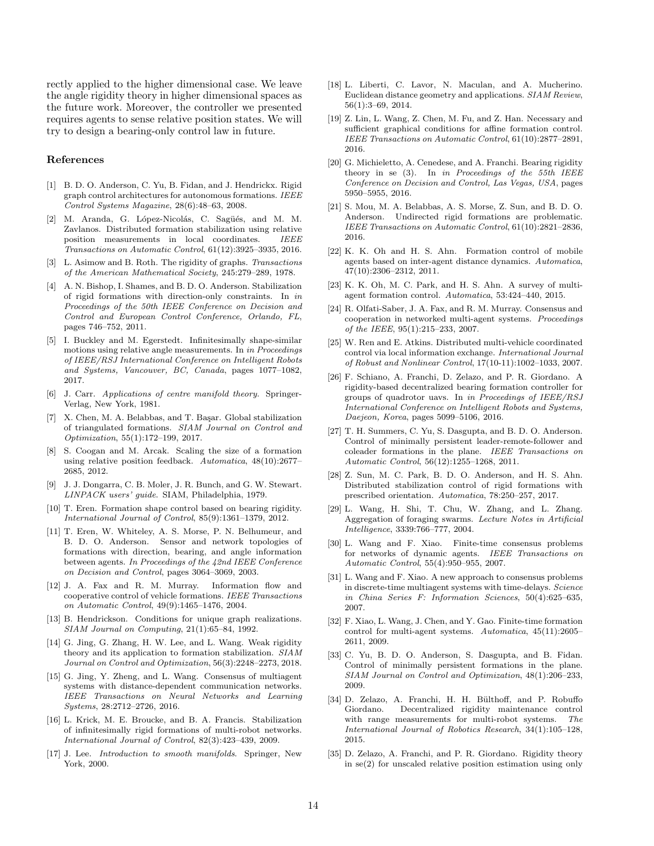rectly applied to the higher dimensional case. We leave the angle rigidity theory in higher dimensional spaces as the future work. Moreover, the controller we presented requires agents to sense relative position states. We will try to design a bearing-only control law in future.

#### References

- [1] B. D. O. Anderson, C. Yu, B. Fidan, and J. Hendrickx. Rigid graph control architectures for autonomous formations. IEEE Control Systems Magazine, 28(6):48–63, 2008.
- [2] M. Aranda, G. López-Nicolás, C. Sagüés, and M. M. Zavlanos. Distributed formation stabilization using relative position measurements in local coordinates. IEEE Transactions on Automatic Control, 61(12):3925–3935, 2016.
- [3] L. Asimow and B. Roth. The rigidity of graphs. Transactions of the American Mathematical Society, 245:279–289, 1978.
- [4] A. N. Bishop, I. Shames, and B. D. O. Anderson. Stabilization of rigid formations with direction-only constraints. In in Proceedings of the 50th IEEE Conference on Decision and Control and European Control Conference, Orlando, FL, pages 746–752, 2011.
- [5] I. Buckley and M. Egerstedt. Infinitesimally shape-similar motions using relative angle measurements. In in Proceedings of IEEE/RSJ International Conference on Intelligent Robots and Systems, Vancouver, BC, Canada, pages 1077–1082, 2017.
- [6] J. Carr. Applications of centre manifold theory. Springer-Verlag, New York, 1981.
- [7] X. Chen, M. A. Belabbas, and T. Başar. Global stabilization of triangulated formations. SIAM Journal on Control and Optimization, 55(1):172–199, 2017.
- [8] S. Coogan and M. Arcak. Scaling the size of a formation using relative position feedback. Automatica, 48(10):2677– 2685, 2012.
- [9] J. J. Dongarra, C. B. Moler, J. R. Bunch, and G. W. Stewart. LINPACK users' guide. SIAM, Philadelphia, 1979.
- [10] T. Eren. Formation shape control based on bearing rigidity. International Journal of Control, 85(9):1361–1379, 2012.
- [11] T. Eren, W. Whiteley, A. S. Morse, P. N. Belhumeur, and B. D. O. Anderson. Sensor and network topologies of formations with direction, bearing, and angle information between agents. In Proceedings of the 42nd IEEE Conference on Decision and Control, pages 3064–3069, 2003.
- [12] J. A. Fax and R. M. Murray. Information flow and cooperative control of vehicle formations. IEEE Transactions on Automatic Control, 49(9):1465–1476, 2004.
- [13] B. Hendrickson. Conditions for unique graph realizations. SIAM Journal on Computing, 21(1):65–84, 1992.
- [14] G. Jing, G. Zhang, H. W. Lee, and L. Wang. Weak rigidity theory and its application to formation stabilization. SIAM Journal on Control and Optimization, 56(3):2248–2273, 2018.
- [15] G. Jing, Y. Zheng, and L. Wang. Consensus of multiagent systems with distance-dependent communication networks. IEEE Transactions on Neural Networks and Learning Systems, 28:2712–2726, 2016.
- [16] L. Krick, M. E. Broucke, and B. A. Francis. Stabilization of infinitesimally rigid formations of multi-robot networks. International Journal of Control, 82(3):423–439, 2009.
- [17] J. Lee. Introduction to smooth manifolds. Springer, New York, 2000.
- [18] L. Liberti, C. Lavor, N. Maculan, and A. Mucherino. Euclidean distance geometry and applications. SIAM Review, 56(1):3–69, 2014.
- [19] Z. Lin, L. Wang, Z. Chen, M. Fu, and Z. Han. Necessary and sufficient graphical conditions for affine formation control. IEEE Transactions on Automatic Control, 61(10):2877–2891, 2016.
- [20] G. Michieletto, A. Cenedese, and A. Franchi. Bearing rigidity theory in se (3). In in Proceedings of the 55th IEEE Conference on Decision and Control, Las Vegas, USA, pages 5950–5955, 2016.
- [21] S. Mou, M. A. Belabbas, A. S. Morse, Z. Sun, and B. D. O. Anderson. Undirected rigid formations are problematic. IEEE Transactions on Automatic Control, 61(10):2821–2836, 2016.
- [22] K. K. Oh and H. S. Ahn. Formation control of mobile agents based on inter-agent distance dynamics. Automatica, 47(10):2306–2312, 2011.
- [23] K. K. Oh, M. C. Park, and H. S. Ahn. A survey of multiagent formation control. Automatica, 53:424–440, 2015.
- [24] R. Olfati-Saber, J. A. Fax, and R. M. Murray. Consensus and cooperation in networked multi-agent systems. Proceedings of the IEEE, 95(1):215–233, 2007.
- [25] W. Ren and E. Atkins. Distributed multi-vehicle coordinated control via local information exchange. International Journal of Robust and Nonlinear Control, 17(10-11):1002–1033, 2007.
- [26] F. Schiano, A. Franchi, D. Zelazo, and P. R. Giordano. A rigidity-based decentralized bearing formation controller for groups of quadrotor uavs. In in Proceedings of IEEE/RSJ International Conference on Intelligent Robots and Systems, Daejeon, Korea, pages 5099–5106, 2016.
- [27] T. H. Summers, C. Yu, S. Dasgupta, and B. D. O. Anderson. Control of minimally persistent leader-remote-follower and coleader formations in the plane. IEEE Transactions on Automatic Control, 56(12):1255–1268, 2011.
- [28] Z. Sun, M. C. Park, B. D. O. Anderson, and H. S. Ahn. Distributed stabilization control of rigid formations with prescribed orientation. Automatica, 78:250–257, 2017.
- [29] L. Wang, H. Shi, T. Chu, W. Zhang, and L. Zhang. Aggregation of foraging swarms. Lecture Notes in Artificial Intelligence, 3339:766–777, 2004.
- [30] L. Wang and F. Xiao. Finite-time consensus problems for networks of dynamic agents. IEEE Transactions on Automatic Control, 55(4):950–955, 2007.
- [31] L. Wang and F. Xiao. A new approach to consensus problems in discrete-time multiagent systems with time-delays. Science in China Series F: Information Sciences, 50(4):625–635, 2007.
- [32] F. Xiao, L. Wang, J. Chen, and Y. Gao. Finite-time formation control for multi-agent systems. Automatica, 45(11):2605– 2611, 2009.
- [33] C. Yu, B. D. O. Anderson, S. Dasgupta, and B. Fidan. Control of minimally persistent formations in the plane. SIAM Journal on Control and Optimization, 48(1):206–233, 2009.
- [34] D. Zelazo, A. Franchi, H. H. Bülthoff, and P. Robuffo Giordano. Decentralized rigidity maintenance control with range measurements for multi-robot systems. The International Journal of Robotics Research, 34(1):105–128, 2015.
- [35] D. Zelazo, A. Franchi, and P. R. Giordano. Rigidity theory in se(2) for unscaled relative position estimation using only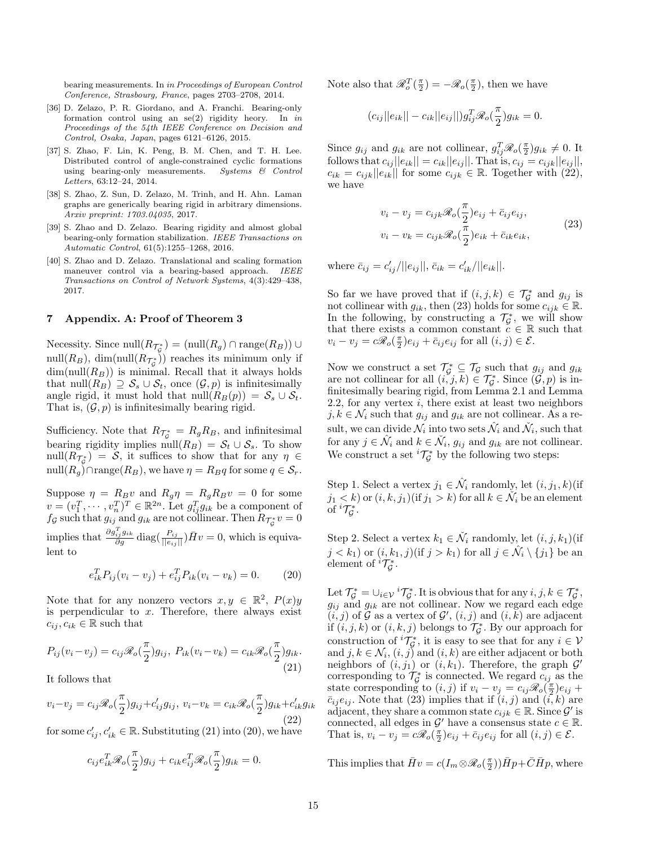bearing measurements. In in Proceedings of European Control Conference, Strasbourg, France, pages 2703–2708, 2014.

- [36] D. Zelazo, P. R. Giordano, and A. Franchi. Bearing-only formation control using an  $se(2)$  rigidity heory. In in Proceedings of the 54th IEEE Conference on Decision and Control, Osaka, Japan, pages 6121–6126, 2015.
- [37] S. Zhao, F. Lin, K. Peng, B. M. Chen, and T. H. Lee. Distributed control of angle-constrained cyclic formations using bearing-only measurements. Systems & Control Letters, 63:12–24, 2014.
- [38] S. Zhao, Z. Sun, D. Zelazo, M. Trinh, and H. Ahn. Laman graphs are generically bearing rigid in arbitrary dimensions. Arxiv preprint: 1703.04035, 2017.
- [39] S. Zhao and D. Zelazo. Bearing rigidity and almost global bearing-only formation stabilization. IEEE Transactions on Automatic Control, 61(5):1255–1268, 2016.
- [40] S. Zhao and D. Zelazo. Translational and scaling formation maneuver control via a bearing-based approach. IEEE Transactions on Control of Network Systems, 4(3):429–438, 2017.

#### 7 Appendix. A: Proof of Theorem 3

Necessity. Since  $null(R_{\mathcal{T}_{\mathcal{G}}^*}) = (null(R_g) \cap \text{range}(R_B)) \cup$  $\text{null}(R_B)$ ,  $\dim(\text{null}(R_{\mathcal{T}_{\mathcal{G}}^*}))$  reaches its minimum only if  $dim(null(R_B))$  is minimal. Recall that it always holds that null $(R_B) \supseteq S_s \cup S_t$ , once  $(\mathcal{G}, p)$  is infinitesimally angle rigid, it must hold that null $(R_B(p)) = S_s \cup S_t$ . That is,  $(\mathcal{G}, p)$  is infinitesimally bearing rigid.

Sufficiency. Note that  $R_{\mathcal{T}_{\mathcal{G}}^*} = R_g R_B$ , and infinitesimal bearing rigidity implies null $(R_B) = S_t \cup S_s$ . To show  $\text{null}(R_{\mathcal{L}^*_{\mathcal{G}}}) = \mathcal{S}$ , it suffices to show that for any  $\eta \in$ null $(R_q)$ ∩range $(R_B)$ , we have  $\eta = R_Bq$  for some  $q \in \mathcal{S}_r$ .

Suppose  $\eta = R_B v$  and  $R_q \eta = R_g R_B v = 0$  for some  $v = (v_1^T, \dots, v_n^T)^T \in \mathbb{R}^{2n}$ . Let  $g_{ij}^T g_{ik}$  be a component of  $f_{\mathcal{G}}$  such that  $g_{ij}$  and  $g_{ik}$  are not collinear. Then  $R_{\mathcal{T}_{\mathcal{G}}^{*}}v=0$ implies that  $\frac{\partial g_{ij}^T g_{ik}}{\partial g} \text{diag}\left(\frac{P_{ij}}{||e_{ij}||}\right) \bar{H}v = 0$ , which is equivalent to

$$
e_{ik}^T P_{ij}(v_i - v_j) + e_{ij}^T P_{ik}(v_i - v_k) = 0.
$$
 (20)

Note that for any nonzero vectors  $x, y \in \mathbb{R}^2$ ,  $P(x)y$ is perpendicular to  $x$ . Therefore, there always exist  $c_{ij}, c_{ik} \in \mathbb{R}$  such that

$$
P_{ij}(v_i - v_j) = c_{ij}\mathcal{R}_o(\frac{\pi}{2})g_{ij}, \ P_{ik}(v_i - v_k) = c_{ik}\mathcal{R}_o(\frac{\pi}{2})g_{ik}.
$$
\n(21)

It follows that

$$
v_i - v_j = c_{ij} \mathcal{R}_o(\frac{\pi}{2}) g_{ij} + c'_{ij} g_{ij}, \ v_i - v_k = c_{ik} \mathcal{R}_o(\frac{\pi}{2}) g_{ik} + c'_{ik} g_{ik}
$$
\n(22)

for some  $c'_{ij}, c'_{ik} \in \mathbb{R}$ . Substituting (21) into (20), we have

$$
c_{ij}e_{ik}^T \mathcal{R}_o(\frac{\pi}{2})g_{ij} + c_{ik}e_{ij}^T \mathcal{R}_o(\frac{\pi}{2})g_{ik} = 0.
$$

Note also that  $\mathscr{R}_{o}^{T}(\frac{\pi}{2}) = -\mathscr{R}_{o}(\frac{\pi}{2})$ , then we have

$$
(c_{ij}||e_{ik}||-c_{ik}||e_{ij}||)g_{ij}^T \mathscr{R}_o(\frac{\pi}{2})g_{ik}=0.
$$

Since  $g_{ij}$  and  $g_{ik}$  are not collinear,  $g_{ij}^T \mathscr{R}_o(\frac{\pi}{2}) g_{ik} \neq 0$ . It follows that  $c_{ij} ||e_{ik} || = c_{ik} ||e_{ij} ||$ . That is,  $c_{ij} = c_{ijk} ||e_{ij} ||$ ,  $c_{ik} = c_{ijk} ||e_{ik}||$  for some  $c_{ijk} \in \mathbb{R}$ . Together with (22), we have

$$
v_i - v_j = c_{ijk} \mathcal{R}_o(\frac{\pi}{2}) e_{ij} + \bar{c}_{ij} e_{ij},
$$
  

$$
v_i - v_k = c_{ijk} \mathcal{R}_o(\frac{\pi}{2}) e_{ik} + \bar{c}_{ik} e_{ik},
$$
 (23)

where  $\bar{c}_{ij} = c'_{ij}/||e_{ij}||$ ,  $\bar{c}_{ik} = c'_{ik}/||e_{ik}||$ .

So far we have proved that if  $(i, j, k) \in \mathcal{T}_{\mathcal{G}}^*$  and  $g_{ij}$  is not collinear with  $g_{ik}$ , then (23) holds for some  $c_{ijk} \in \mathbb{R}$ . In the following, by constructing a  $\mathcal{T}_{\mathcal{G}}^*$ , we will show that there exists a common constant  $c \in \mathbb{R}$  such that  $v_i - v_j = c\mathcal{R}_o(\frac{\pi}{2})e_{ij} + \bar{c}_{ij}e_{ij}$  for all  $(i, j) \in \mathcal{E}$ .

Now we construct a set  $\mathcal{T}_{\mathcal{G}}^* \subseteq \mathcal{T}_{\mathcal{G}}$  such that  $g_{ij}$  and  $g_{ik}$ are not collinear for all  $(i, j, k) \in \mathcal{T}_{\mathcal{G}}^*$ . Since  $(\mathcal{G}, p)$  is infinitesimally bearing rigid, from Lemma 2.1 and Lemma 2.2, for any vertex  $i$ , there exist at least two neighbors  $j, k \in \mathcal{N}_i$  such that  $g_{ij}$  and  $g_{ik}$  are not collinear. As a result, we can divide  $\mathcal{N}_i$  into two sets  $\hat{\mathcal{N}}_i$  and  $\check{\mathcal{N}}_i$ , such that for any  $j \in \hat{\mathcal{N}}_i$  and  $k \in \check{\mathcal{N}}_i$ ,  $g_{ij}$  and  $g_{ik}$  are not collinear. We construct a set  ${}^{i}T_{\mathcal{G}}^{*}$  by the following two steps:

Step 1. Select a vertex  $j_1 \in \hat{\mathcal{N}}_i$  randomly, let  $(i, j_1, k)$  (if  $j_1 < k$ ) or  $(i, k, j_1)$  (if  $j_1 > k$ ) for all  $k \in \check{\mathcal{N}}_i$  be an element of  ${}^{i} \mathcal{T}_{\mathcal{G}}^{*}$ .

Step 2. Select a vertex  $k_1 \in \check{\mathcal{N}}_i$  randomly, let  $(i, j, k_1)$  (if  $j < k_1$ ) or  $(i, k_1, j)$  (if  $j > k_1$ ) for all  $j \in \hat{\mathcal{N}}_i \setminus \{j_1\}$  be an element of  ${}^{i} \mathcal{T}_{\mathcal{G}}^{*}$ .

Let  $\mathcal{T}_{\mathcal{G}}^* = \cup_{i \in \mathcal{V}} i \mathcal{T}_{\mathcal{G}}^*$ . It is obvious that for any  $i, j, k \in \mathcal{T}_{\mathcal{G}}^*$ ,  $g_{ij}$  and  $g_{ik}$  are not collinear. Now we regard each edge  $(i, j)$  of G as a vertex of  $\mathcal{G}'$ ,  $(i, j)$  and  $(i, k)$  are adjacent if  $(i, j, k)$  or  $(i, k, j)$  belongs to  $\mathcal{T}_{\mathcal{G}}^*$ . By our approach for construction of  ${}^{i} \mathcal{T}_{\mathcal{G}}^{*}$ , it is easy to see that for any  $i \in \mathcal{V}$ and  $j, k \in \mathcal{N}_i$ ,  $(i, j)$  and  $(i, k)$  are either adjacent or both neighbors of  $(i, j_1)$  or  $(i, k_1)$ . Therefore, the graph  $\mathcal{G}'$ corresponding to  $\mathcal{T}_{\mathcal{G}}^*$  is connected. We regard  $c_{ij}$  as the state corresponding to  $(i, j)$  if  $v_i - v_j = c_{ij} \mathscr{R}_o(\frac{\pi}{2}) e_{ij} +$  $\bar{c}_{ij} e_{ij}$ . Note that (23) implies that if  $(i, j)$  and  $(i, k)$  are adjacent, they share a common state  $c_{ijk} \in \mathbb{R}$ . Since  $\mathcal{G}'$  is connected, all edges in  $\mathcal{G}'$  have a consensus state  $c \in \mathbb{R}$ . That is,  $v_i - v_j = c\Re_o(\frac{\pi}{2})e_{ij} + \bar{c}_{ij}e_{ij}$  for all  $(i, j) \in \mathcal{E}$ .

This implies that  $\bar{H}v = c(I_m \otimes \mathscr{R}_o(\frac{\pi}{2}))\bar{H}p + \bar{C}\bar{H}p$ , where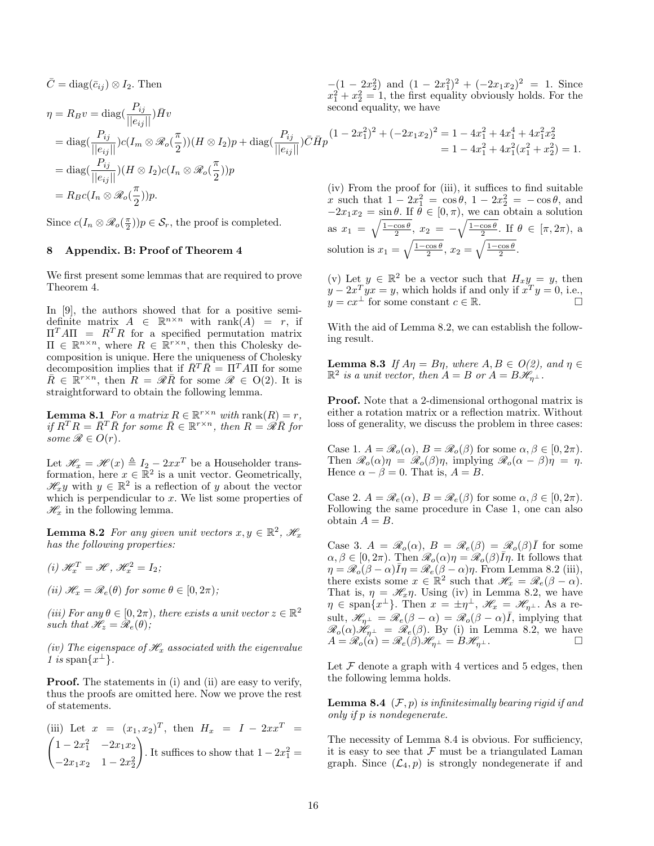$\overline{C} = \text{diag}(\overline{c}_{ij}) \otimes I_2$ . Then

$$
\eta = R_B v = \text{diag}\left(\frac{P_{ij}}{||e_{ij}||}\right) \bar{H} v
$$
\n
$$
= \text{diag}\left(\frac{P_{ij}}{||e_{ij}||}\right) c (I_m \otimes \mathcal{R}_o(\frac{\pi}{2})) (H \otimes I_2) p + \text{diag}\left(\frac{P_{ij}}{||e_{ij}||}\right) \bar{C} \bar{H} p \qquad (1 - 2x_1^2)^2 + (-2x_1x_2)^2 = 1 - 4x_1^2 + 4x_1^4 + 4x_1^2x_2^2
$$
\n
$$
= 1 - 4x_1^2 + 4x_1^2(x_1^2 + x_2^2) = 1.
$$
\n
$$
= \text{diag}\left(\frac{P_{ij}}{||e_{ij}||}\right) (H \otimes I_2) c (I_n \otimes \mathcal{R}_o(\frac{\pi}{2})) p
$$
\n
$$
= R_B c (I_n \otimes \mathcal{R}_o(\frac{\pi}{2})) p.
$$
\n
$$
\text{(iv) From the proof for (iii), it suffices to find suitable}
$$
\n
$$
x \text{ such that } 1 - 2x_1^2 = \cos \theta, 1 - 2x_2^2 = -\cos \theta, \text{ and}
$$

Since  $c(I_n \otimes \mathcal{R}_o(\frac{\pi}{2}))p \in \mathcal{S}_r$ , the proof is completed.

#### 8 Appendix. B: Proof of Theorem 4

We first present some lemmas that are required to prove Theorem 4.

In [9], the authors showed that for a positive semidefinite matrix  $A \in \mathbb{R}^{n \times n}$  with rank $(A) = r$ , if  $\Pi^T A \Pi = R^T R$  for a specified permutation matrix  $\Pi \in \mathbb{R}^{n \times n}$ , where  $R \in \mathbb{R}^{r \times n}$ , then this Cholesky decomposition is unique. Here the uniqueness of Cholesky decomposition implies that if  $\overline{R}^T \overline{R} = \Pi^T A \Pi$  for some  $\bar{R} \in \mathbb{R}^{r \times n}$ , then  $R = \mathscr{R}\bar{R}$  for some  $\mathscr{R} \in O(2)$ . It is straightforward to obtain the following lemma.

**Lemma 8.1** For a matrix  $R \in \mathbb{R}^{r \times n}$  with rank $(R) = r$ , if  $R^T R = \bar{R}^T \bar{R}$  for some  $\bar{R} \in \mathbb{R}^{r \times n}$ , then  $R = \mathscr{R} \bar{R}$  for some  $\mathscr{R} \in O(r)$ .

Let  $\mathcal{H}_x = \mathcal{H}(x) \triangleq I_2 - 2xx^T$  be a Householder transformation, here  $x \in \mathbb{R}^2$  is a unit vector. Geometrically,  $\mathscr{H}_x y$  with  $y \in \mathbb{R}^2$  is a reflection of y about the vector which is perpendicular to  $x$ . We list some properties of  $\mathcal{H}_x$  in the following lemma.

**Lemma 8.2** For any given unit vectors  $x, y \in \mathbb{R}^2$ ,  $\mathscr{H}_x$ has the following properties:

$$
(i) \mathcal{H}_x^T = \mathcal{H}, \mathcal{H}_x^2 = I_2;
$$

(ii)  $\mathcal{H}_x = \mathcal{R}_e(\theta)$  for some  $\theta \in [0, 2\pi)$ ;

(iii) For any  $\theta \in [0, 2\pi)$ , there exists a unit vector  $z \in \mathbb{R}^2$ such that  $\mathscr{H}_z = \mathscr{R}_e(\theta)$ ;

(iv) The eigenspace of  $\mathcal{H}_x$  associated with the eigenvalue 1 is span $\{x^{\perp}\}.$ 

Proof. The statements in (i) and (ii) are easy to verify, thus the proofs are omitted here. Now we prove the rest of statements.

(iii) Let 
$$
x = (x_1, x_2)^T
$$
, then  $H_x = I - 2x x^T = \begin{pmatrix} 1 - 2x_1^2 & -2x_1x_2 \\ -2x_1x_2 & 1 - 2x_2^2 \end{pmatrix}$ . It suffices to show that  $1 - 2x_1^2 =$ 

 $-(1-2x_2^2)$  and  $(1-2x_1^2)^2+(-2x_1x_2)^2=1$ . Since  $x_1^2 + x_2^2 = 1$ , the first equality obviously holds. For the

x such that  $1 - 2x_1^2 = \cos \theta$ ,  $1 - 2x_2^2 = -\cos \theta$ , and  $-2x_1x_2 = \sin \theta$ . If  $\theta \in [0, \pi)$ , we can obtain a solution as  $x_1 = \sqrt{\frac{1-\cos\theta}{2}}$ ,  $x_2 = -\sqrt{\frac{1-\cos\theta}{2}}$ . If  $\theta \in [\pi, 2\pi)$ , a solution is  $x_1 = \sqrt{\frac{1-\cos\theta}{2}}, x_2 = \sqrt{\frac{1-\cos\theta}{2}}.$ 

(v) Let  $y \in \mathbb{R}^2$  be a vector such that  $H_x y = y$ , then  $y - 2x^T yx = y$ , which holds if and only if  $x^T y = 0$ , i.e.,  $y = cx^{\perp}$  for some constant  $c \in \mathbb{R}$ .

With the aid of Lemma 8.2, we can establish the following result.

**Lemma 8.3** If  $A\eta = B\eta$ , where  $A, B \in O(2)$ , and  $\eta \in$  $\mathbb{R}^2$  is a unit vector, then  $A = B$  or  $A = B\mathcal{H}_{\eta^{\perp}}$ .

Proof. Note that a 2-dimensional orthogonal matrix is either a rotation matrix or a reflection matrix. Without loss of generality, we discuss the problem in three cases:

Case 1.  $A = \mathcal{R}_o(\alpha)$ ,  $B = \mathcal{R}_o(\beta)$  for some  $\alpha, \beta \in [0, 2\pi)$ . Then  $\mathscr{R}_o(\alpha)\eta = \mathscr{R}_o(\beta)\eta$ , implying  $\mathscr{R}_o(\alpha - \beta)\eta = \eta$ . Hence  $\alpha - \beta = 0$ . That is,  $A = B$ .

Case 2.  $A = \mathcal{R}_e(\alpha)$ ,  $B = \mathcal{R}_e(\beta)$  for some  $\alpha, \beta \in [0, 2\pi)$ . Following the same procedure in Case 1, one can also obtain  $A = B$ .

Case 3.  $A = \mathcal{R}_o(\alpha)$ ,  $B = \mathcal{R}_e(\beta) = \mathcal{R}_o(\beta) \overline{I}$  for some  $\alpha, \beta \in [0, 2\pi)$ . Then  $\mathscr{R}_o(\alpha)\eta = \mathscr{R}_o(\beta)\overline{I}\eta$ . It follows that  $\eta = \mathscr{R}_{o}(\beta - \alpha)\overline{I}\eta = \mathscr{R}_{e}(\beta - \alpha)\eta.$  From Lemma 8.2 (iii), there exists some  $x \in \mathbb{R}^2$  such that  $\mathscr{H}_x = \mathscr{R}_e(\beta - \alpha)$ . That is,  $\eta = \mathcal{H}_{x}\eta$ . Using (iv) in Lemma 8.2, we have  $\eta \in \text{span}\{x^{\perp}\}.$  Then  $x = \pm \eta^{\perp}, \mathscr{H}_x = \mathscr{H}_{\eta^{\perp}}.$  As a result,  $\mathscr{H}_{\eta^{\perp}} = \mathscr{R}_e(\beta - \alpha) = \mathscr{R}_o(\beta - \alpha)\overline{I}$ , implying that  $\mathscr{R}_o(\alpha)\mathscr{H}_{\eta^\perp} = \mathscr{R}_e(\beta)$ . By (i) in Lemma 8.2, we have  $A = \mathscr{R}_o(\alpha) = \mathscr{R}_e(\beta)\mathscr{H}_{\eta^{\perp}} = B\mathscr{H}_{\eta^{\perp}}.$ 

Let  $\mathcal F$  denote a graph with 4 vertices and 5 edges, then the following lemma holds.

**Lemma 8.4**  $(F, p)$  is infinitesimally bearing rigid if and only if p is nondegenerate.

The necessity of Lemma 8.4 is obvious. For sufficiency, it is easy to see that  $\mathcal F$  must be a triangulated Laman graph. Since  $(\mathcal{L}_4, p)$  is strongly nondegenerate if and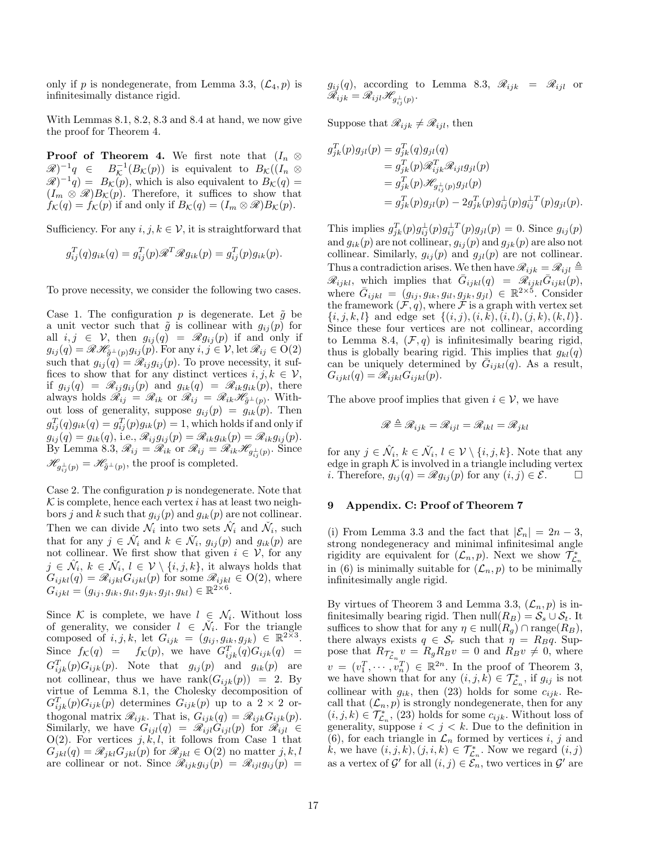only if p is nondegenerate, from Lemma 3.3,  $(\mathcal{L}_4, p)$  is infinitesimally distance rigid.

With Lemmas 8.1, 8.2, 8.3 and 8.4 at hand, we now give the proof for Theorem 4.

**Proof of Theorem 4.** We first note that  $(I_n \otimes$  $\mathscr{R})^{-1}q \in B$  $\overline{\mathcal{K}}^{-1}(B_{\mathcal{K}}(p))$  is equivalent to  $B_{\mathcal{K}}((I_n \otimes$  $\mathscr{R})^{-1}q = B_{\mathcal{K}}(p)$ , which is also equivalent to  $B_{\mathcal{K}}(q) =$  $(I_m \otimes \mathcal{R})B_{\mathcal{K}}(p)$ . Therefore, it suffices to show that  $f_{\mathcal{K}}(q) = f_{\mathcal{K}}(p)$  if and only if  $B_{\mathcal{K}}(q) = (I_m \otimes \mathcal{R})B_{\mathcal{K}}(p)$ .

Sufficiency. For any  $i, j, k \in \mathcal{V}$ , it is straightforward that

$$
g_{ij}^T(q)g_{ik}(q) = g_{ij}^T(p)\mathscr{R}^T\mathscr{R}g_{ik}(p) = g_{ij}^T(p)g_{ik}(p).
$$

To prove necessity, we consider the following two cases.

Case 1. The configuration p is degenerate. Let  $\tilde{g}$  be a unit vector such that  $\tilde{g}$  is collinear with  $g_{ij}(p)$  for all  $i, j \in \mathcal{V}$ , then  $g_{ij}(q) = \mathscr{R} g_{ij}(p)$  if and only if  $g_{ij}(q) = \mathscr{R} \mathscr{H}_{\tilde{g}^{\perp}(p)} g_{ij}(p)$ . For any  $i, j \in \mathcal{V}$ , let  $\mathscr{R}_{ij} \in O(2)$ such that  $g_{ij}(q) = \mathscr{R}_{ij} g_{ij}(p)$ . To prove necessity, it suffices to show that for any distinct vertices  $i, j, k \in \mathcal{V}$ , if  $g_{ij}(q) = \mathscr{R}_{ij} g_{ij}(p)$  and  $g_{ik}(q) = \mathscr{R}_{ik} g_{ik}(p)$ , there always holds  $\mathcal{R}_{ij} = \mathcal{R}_{ik}$  or  $\mathcal{R}_{ij} = \mathcal{R}_{ik} \mathcal{H}_{\tilde{g}^{\perp}(p)}$ . Without loss of generality, suppose  $g_{ij}(p) = g_{ik}(p)$ . Then  $g_{ij}^T(q)g_{ik}(q) = g_{ij}^T(p)g_{ik}(p) = 1$ , which holds if and only if  $g_{ij}(q) = g_{ik}(q)$ , i.e.,  $\mathscr{R}_{ij}g_{ij}(p) = \mathscr{R}_{ik}g_{ik}(p) = \mathscr{R}_{ik}g_{ij}(p)$ . By Lemma 8.3,  $\mathscr{R}_{ij} = \mathscr{R}_{ik}$  or  $\mathscr{R}_{ij} = \mathscr{R}_{ik} \mathscr{H}_{g_{ij}^{\perp}(p)}$ . Since  $\mathscr{H}_{g_{ij}^{\perp}(p)} = \mathscr{H}_{\tilde{g}^{\perp}(p)}$ , the proof is completed.

Case 2. The configuration  $p$  is nondegenerate. Note that  $\mathcal K$  is complete, hence each vertex i has at least two neighbors j and k such that  $g_{ij}(p)$  and  $g_{ik}(p)$  are not collinear. Then we can divide  $\mathcal{N}_i$  into two sets  $\hat{\mathcal{N}}_i$  and  $\check{\mathcal{N}}_i$ , such that for any  $j \in \hat{\mathcal{N}}_i$  and  $k \in \check{\mathcal{N}}_i$ ,  $g_{ij}(p)$  and  $g_{ik}(p)$  are not collinear. We first show that given  $i \in \mathcal{V}$ , for any  $j \in \hat{\mathcal{N}}_i, k \in \check{\mathcal{N}}_i, l \in \mathcal{V} \setminus \{i, j, k\},\$ it always holds that  $G_{ijkl}(q) = \mathscr{R}_{ijkl} G_{ijkl}(p)$  for some  $\mathscr{R}_{ijkl} \in O(2)$ , where  $G_{ijkl} = (g_{ij}, g_{ik}, g_{il}, g_{jk}, g_{jl}, g_{kl}) \in \mathbb{R}^{2 \times 6}$ .

Since K is complete, we have  $l \in \mathcal{N}_i$ . Without loss of generality, we consider  $l \in \check{\mathcal{N}}_i$ . For the triangle composed of i, j, k, let  $G_{ijk} = (g_{ij}, g_{ik}, g_{jk}) \in \mathbb{R}^{2 \times 3}$ . Since  $f_{\mathcal{K}}(q) = f_{\mathcal{K}}(p)$ , we have  $G_{ijk}^T(q)G_{ijk}(q) =$  $G_{ijk}^T(p)G_{ijk}(p)$ . Note that  $g_{ij}(p)$  and  $g_{ik}(p)$  are not collinear, thus we have  $rank(G_{ijk}(p)) = 2$ . By virtue of Lemma 8.1, the Cholesky decomposition of  $G_{ijk}^T(p)G_{ijk}(p)$  determines  $G_{ijk}(p)$  up to a 2 × 2 orthogonal matrix  $\mathscr{R}_{ijk}$ . That is,  $G_{ijk}(q) = \mathscr{R}_{ijk}G_{ijk}(p)$ . Similarly, we have  $G_{ijl}(q) = \mathscr{R}_{ijl} G_{ijl}(p)$  for  $\mathscr{R}_{ijl} \in$ O(2). For vertices  $j, k, l$ , it follows from Case 1 that  $G_{jkl}(q) = \mathscr{R}_{jkl} G_{jkl}(p)$  for  $\mathscr{R}_{jkl} \in O(2)$  no matter  $j, k, l$ are collinear or not. Since  $\mathscr{R}_{ijk}g_{ij}(p) = \mathscr{R}_{ijl}g_{ij}(p)$ 

 $g_{ij}(q)$ , according to Lemma 8.3,  $\mathscr{R}_{ijk} = \mathscr{R}_{ijl}$  or  $\mathscr{R}_{ijk}=\mathscr{R}_{ijl}\mathscr{H}_{g_{ij}^\perp(p)}.$ 

Suppose that  $\mathcal{R}_{ijk} \neq \mathcal{R}_{ijl}$ , then

$$
g_{jk}^T(p)g_{jl}(p) = g_{jk}^T(q)g_{jl}(q)
$$
  
=  $g_{jk}^T(p)\mathscr{R}_{ijk}^T\mathscr{R}_{ijl}g_{jl}(p)$   
=  $g_{jk}^T(p)\mathscr{H}_{g_{ij}^+(p)}g_{jl}(p)$   
=  $g_{jk}^T(p)g_{jl}(p) - 2g_{jk}^T(p)g_{ij}^+(p)g_{jl}^{-T}(p)g_{jl}(p).$ 

This implies  $g_{jk}^T(p)g_{ij}^{\perp}(p)g_{ij}^{\perp T}(p)g_{jl}(p) = 0$ . Since  $g_{ij}(p)$ and  $g_{ik}(p)$  are not collinear,  $g_{ij}(p)$  and  $g_{jk}(p)$  are also not collinear. Similarly,  $g_{ij}(p)$  and  $g_{jl}(p)$  are not collinear. Thus a contradiction arises. We then have  $\mathscr{R}_{ijk} = \mathscr{R}_{ijl} \triangleq$  $\mathscr{R}_{ijkl}$ , which implies that  $\bar{G}_{ijkl}(q) = \mathscr{R}_{ijkl} \bar{G}_{ijkl}(p)$ , where  $\bar{G}_{ijkl} = (g_{ij}, g_{ik}, g_{il}, g_{jk}, g_{jl}) \in \mathbb{R}^{2 \times 5}$ . Consider the framework  $(\mathcal{F}, q)$ , where  $\mathcal F$  is a graph with vertex set  $\{i, j, k, l\}$  and edge set  $\{(i, j), (i, k), (i, l), (j, k), (k, l)\}.$ Since these four vertices are not collinear, according to Lemma 8.4,  $(\mathcal{F}, q)$  is infinitesimally bearing rigid, thus is globally bearing rigid. This implies that  $g_{kl}(q)$ can be uniquely determined by  $\bar{G}_{ijkl}(q)$ . As a result,  $G_{ijkl}(q) = \mathcal{R}_{ijkl} G_{ijkl}(p).$ 

The above proof implies that given  $i \in \mathcal{V}$ , we have

$$
\mathscr{R} \triangleq \mathscr{R}_{ijk} = \mathscr{R}_{ijl} = \mathscr{R}_{ikl} = \mathscr{R}_{jkl}
$$

for any  $j \in \hat{\mathcal{N}}_i, k \in \check{\mathcal{N}}_i, l \in \mathcal{V} \setminus \{i, j, k\}$ . Note that any edge in graph  $K$  is involved in a triangle including vertex *i*. Therefore,  $g_{ij}(q) = \mathscr{R} g_{ij}(p)$  for any  $(i, j) \in \mathscr{E}$ .  $\Box$ 

### 9 Appendix. C: Proof of Theorem 7

(i) From Lemma 3.3 and the fact that  $|\mathcal{E}_n| = 2n - 3$ , strong nondegeneracy and minimal infinitesimal angle rigidity are equivalent for  $(\mathcal{L}_n, p)$ . Next we show  $\mathcal{T}_{\mathcal{L}_n}^*$ in (6) is minimally suitable for  $(\mathcal{L}_n, p)$  to be minimally infinitesimally angle rigid.

By virtues of Theorem 3 and Lemma 3.3,  $(\mathcal{L}_n, p)$  is infinitesimally bearing rigid. Then null $(R_B) = S_s \cup S_t$ . It suffices to show that for any  $\eta \in \text{null}(R_q) \cap \text{range}(R_B)$ , there always exists  $q \in \mathcal{S}_r$  such that  $\eta = R_B q$ . Suppose that  $R_{\mathcal{T}_{\mathcal{L}_n}^*} v = R_g R_B v = 0$  and  $R_B v \neq 0$ , where  $v = (v_1^T, \dots, v_n^T) \in \mathbb{R}^{2n}$ . In the proof of Theorem 3, we have shown that for any  $(i, j, k) \in \mathcal{T}_{\mathcal{L}_n}^*$ , if  $g_{ij}$  is not collinear with  $g_{ik}$ , then (23) holds for some  $c_{ijk}$ . Recall that  $(\mathcal{L}_n, p)$  is strongly nondegenerate, then for any  $(i, j, k) \in \mathcal{T}_{\mathcal{L}_n}^*$ , (23) holds for some  $c_{ijk}$ . Without loss of generality, suppose  $i < j < k$ . Due to the definition in (6), for each triangle in  $\mathcal{L}_n$  formed by vertices i, j and k, we have  $(i, j, k)$ ,  $(j, i, k) \in \mathcal{T}_{\mathcal{L}_n}^*$ . Now we regard  $(i, j)$ as a vertex of  $\mathcal{G}'$  for all  $(i, j) \in \mathcal{E}_n$ , two vertices in  $\mathcal{G}'$  are